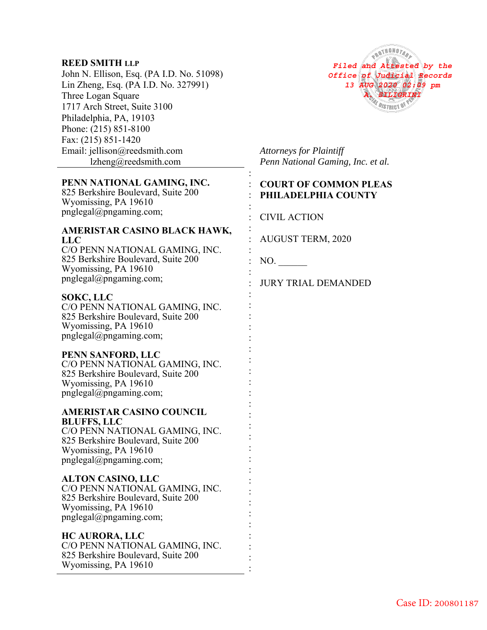## **REED SMITH LLP**

John N. Ellison, Esq. (PA I.D. No. 51098) Lin Zheng, Esq. (PA I.D. No. 327991) Three Logan Square 1717 Arch Street, Suite 3100 Philadelphia, PA, 19103 Phone: (215) 851-8100 Fax: (215) 851-1420 Email: jellison@reedsmith.com lzheng@reedsmith.com

# **PENN NATIONAL GAMING, INC.**

825 Berkshire Boulevard, Suite 200 Wyomissing, PA 19610 pnglegal@pngaming.com;

#### **AMERISTAR CASINO BLACK HAWK, LLC**

C/O PENN NATIONAL GAMING, INC. 825 Berkshire Boulevard, Suite 200 Wyomissing, PA 19610 pnglegal@pngaming.com;

## **SOKC, LLC**

C/O PENN NATIONAL GAMING, INC. 825 Berkshire Boulevard, Suite 200 Wyomissing, PA 19610 pnglegal@pngaming.com;

## **PENN SANFORD, LLC**

C/O PENN NATIONAL GAMING, INC. 825 Berkshire Boulevard, Suite 200 Wyomissing, PA 19610 pnglegal@pngaming.com;

#### **AMERISTAR CASINO COUNCIL BLUFFS, LLC**  C/O PENN NATIONAL GAMING, INC.

825 Berkshire Boulevard, Suite 200 Wyomissing, PA 19610 pnglegal@pngaming.com;

#### **ALTON CASINO, LLC**

C/O PENN NATIONAL GAMING, INC. 825 Berkshire Boulevard, Suite 200 Wyomissing, PA 19610 pnglegal@pngaming.com;

## **HC AURORA, LLC**

| C/O PENN NATIONAL GAMING, INC.     |  |
|------------------------------------|--|
| 825 Berkshire Boulevard, Suite 200 |  |
| Wyomissing, PA 19610               |  |
|                                    |  |



*Attorneys for Plaintiff Penn National Gaming, Inc. et al.*

## : **COURT OF COMMON PLEAS**  : **PHILADELPHIA COUNTY**

: CIVIL ACTION

AUGUST TERM, 2020

: NO.

:

:

: : :

:

: : : : : : : : : : : : : : : : : : : : : : : : :

: JURY TRIAL DEMANDED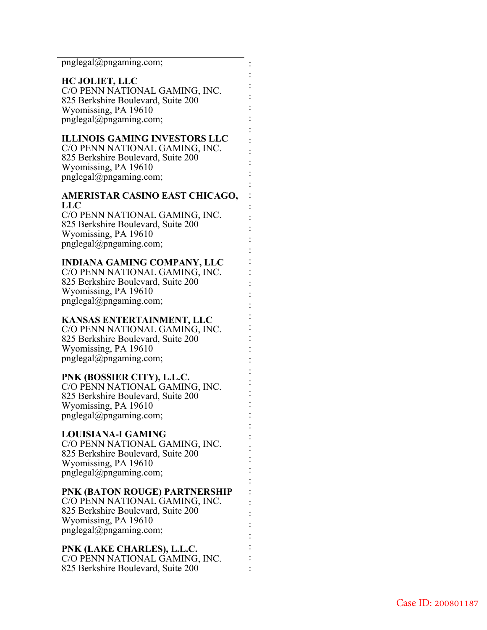pnglegal@pngaming.com;

#### **HC JOLIET, LLC**

C/O PENN NATIONAL GAMING, INC. 825 Berkshire Boulevard, Suite 200 Wyomissing, PA 19610 pnglegal@pngaming.com;

: : : : : : : : : : : : : : : : : : : : : : : : : : : : : : : : : : : : : : : : : : : : : : :

## **ILLINOIS GAMING INVESTORS LLC**

C/O PENN NATIONAL GAMING, INC. 825 Berkshire Boulevard, Suite 200 Wyomissing, PA 19610 pnglegal@pngaming.com;

## **AMERISTAR CASINO EAST CHICAGO, LLC**

C/O PENN NATIONAL GAMING, INC. 825 Berkshire Boulevard, Suite 200 Wyomissing, PA 19610 pnglegal@pngaming.com;

### **INDIANA GAMING COMPANY, LLC**

C/O PENN NATIONAL GAMING, INC. 825 Berkshire Boulevard, Suite 200 Wyomissing, PA 19610 pnglegal@pngaming.com;

#### **KANSAS ENTERTAINMENT, LLC**

C/O PENN NATIONAL GAMING, INC. 825 Berkshire Boulevard, Suite 200 Wyomissing, PA 19610 pnglegal@pngaming.com;

## **PNK (BOSSIER CITY), L.L.C.**

C/O PENN NATIONAL GAMING, INC. 825 Berkshire Boulevard, Suite 200 Wyomissing, PA 19610 pnglegal@pngaming.com;

### **LOUISIANA-I GAMING**

C/O PENN NATIONAL GAMING, INC. 825 Berkshire Boulevard, Suite 200 Wyomissing, PA 19610 pnglegal@pngaming.com;

### **PNK (BATON ROUGE) PARTNERSHIP**

C/O PENN NATIONAL GAMING, INC. 825 Berkshire Boulevard, Suite 200 Wyomissing, PA 19610 pnglegal@pngaming.com;

## **PNK (LAKE CHARLES), L.L.C.**

C/O PENN NATIONAL GAMING, INC. 825 Berkshire Boulevard, Suite 200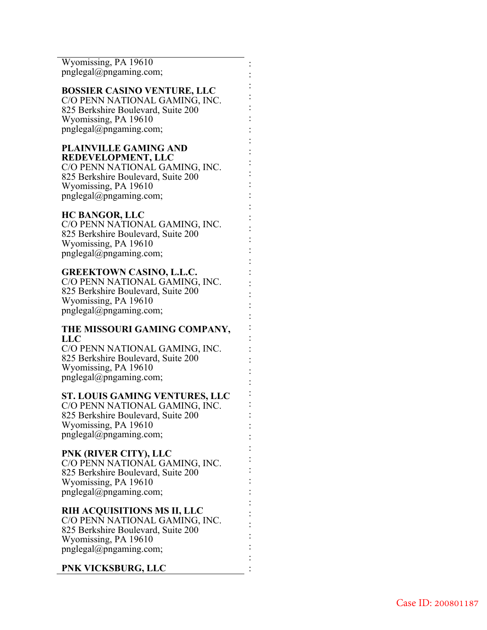Wyomissing, PA 19610 pnglegal@pngaming.com;

#### **BOSSIER CASINO VENTURE, LLC**

: : : : : : : : : : : : : : : : : : : : : : : : : : : : : : : : : : : : : : : : : : : : : : :

C/O PENN NATIONAL GAMING, INC. 825 Berkshire Boulevard, Suite 200 Wyomissing, PA 19610 pnglegal@pngaming.com;

#### **PLAINVILLE GAMING AND REDEVELOPMENT, LLC**

C/O PENN NATIONAL GAMING, INC. 825 Berkshire Boulevard, Suite 200 Wyomissing, PA 19610 pnglegal@pngaming.com;

### **HC BANGOR, LLC**

C/O PENN NATIONAL GAMING, INC. 825 Berkshire Boulevard, Suite 200 Wyomissing, PA 19610 pnglegal@pngaming.com;

### **GREEKTOWN CASINO, L.L.C.**

C/O PENN NATIONAL GAMING, INC. 825 Berkshire Boulevard, Suite 200 Wyomissing, PA 19610 pnglegal@pngaming.com;

### **THE MISSOURI GAMING COMPANY, LLC**

C/O PENN NATIONAL GAMING, INC. 825 Berkshire Boulevard, Suite 200 Wyomissing, PA 19610 pnglegal@pngaming.com;

#### **ST. LOUIS GAMING VENTURES, LLC**

C/O PENN NATIONAL GAMING, INC. 825 Berkshire Boulevard, Suite 200 Wyomissing, PA 19610 pnglegal@pngaming.com;

## **PNK (RIVER CITY), LLC**

C/O PENN NATIONAL GAMING, INC. 825 Berkshire Boulevard, Suite 200 Wyomissing, PA 19610 pnglegal@pngaming.com;

## **RIH ACQUISITIONS MS II, LLC**

C/O PENN NATIONAL GAMING, INC. 825 Berkshire Boulevard, Suite 200 Wyomissing, PA 19610 pnglegal@pngaming.com;

#### **PNK VICKSBURG, LLC**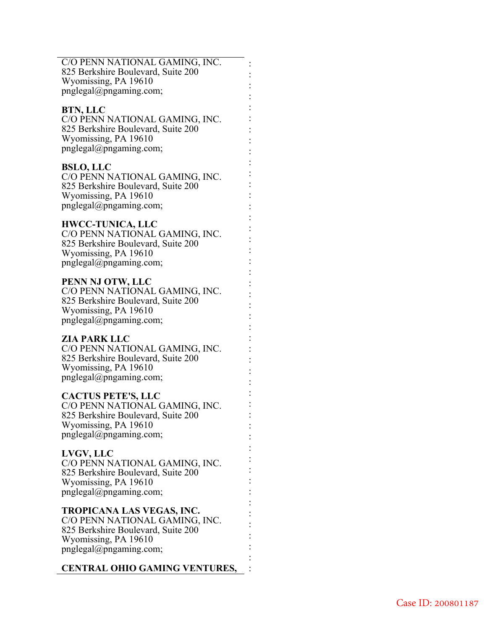| C/O PENN NATIONAL GAMING, INC.     |  |
|------------------------------------|--|
| 825 Berkshire Boulevard, Suite 200 |  |
| Wyomissing, PA 19610               |  |
| pnglegal@pngaming.com;             |  |

: : : : : : : : : : : : : : : : : : : : : : : : : : : : : : : : : : : : : : : : : : : : : :

### **BTN, LLC**

C/O PENN NATIONAL GAMING, INC. 825 Berkshire Boulevard, Suite 200 Wyomissing, PA 19610 pnglegal@pngaming.com;

### **BSLO, LLC**

C/O PENN NATIONAL GAMING, INC. 825 Berkshire Boulevard, Suite 200 Wyomissing, PA 19610 pnglegal@pngaming.com;

#### **HWCC-TUNICA, LLC**

C/O PENN NATIONAL GAMING, INC. 825 Berkshire Boulevard, Suite 200 Wyomissing, PA 19610 pnglegal@pngaming.com;

### **PENN NJ OTW, LLC**

C/O PENN NATIONAL GAMING, INC. 825 Berkshire Boulevard, Suite 200 Wyomissing, PA 19610 pnglegal@pngaming.com;

### **ZIA PARK LLC**

C/O PENN NATIONAL GAMING, INC. 825 Berkshire Boulevard, Suite 200 Wyomissing, PA 19610 pnglegal@pngaming.com;

### **CACTUS PETE'S, LLC**

C/O PENN NATIONAL GAMING, INC. 825 Berkshire Boulevard, Suite 200 Wyomissing, PA 19610 pnglegal@pngaming.com;

### **LVGV, LLC**

C/O PENN NATIONAL GAMING, INC. 825 Berkshire Boulevard, Suite 200 Wyomissing, PA 19610 pnglegal@pngaming.com;

### **TROPICANA LAS VEGAS, INC.**

C/O PENN NATIONAL GAMING, INC. 825 Berkshire Boulevard, Suite 200 Wyomissing, PA 19610 pnglegal@pngaming.com;

### **CENTRAL OHIO GAMING VENTURES,**  :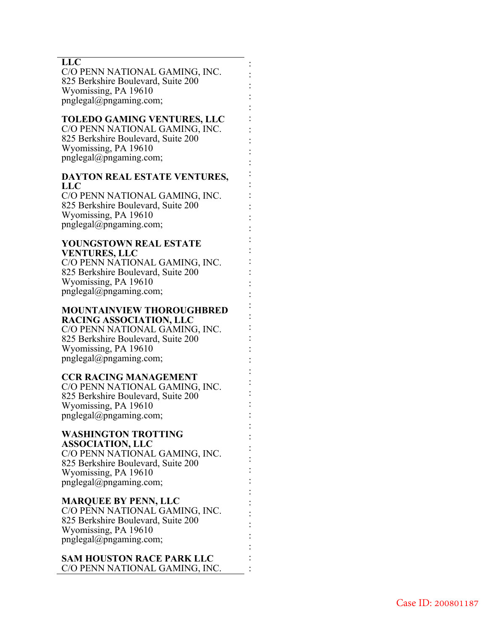### **LLC**

C/O PENN NATIONAL GAMING, INC. 825 Berkshire Boulevard, Suite 200 Wyomissing, PA 19610 pnglegal@pngaming.com;

: : : : : : : : : : : : : : : : : : : : : : : : : : : : : : : : : : : : : : : : : : : : : : :

### **TOLEDO GAMING VENTURES, LLC**

C/O PENN NATIONAL GAMING, INC. 825 Berkshire Boulevard, Suite 200 Wyomissing, PA 19610 pnglegal@pngaming.com;

## **DAYTON REAL ESTATE VENTURES, LLC**

C/O PENN NATIONAL GAMING, INC. 825 Berkshire Boulevard, Suite 200 Wyomissing, PA 19610 pnglegal@pngaming.com;

## **YOUNGSTOWN REAL ESTATE VENTURES, LLC**

C/O PENN NATIONAL GAMING, INC. 825 Berkshire Boulevard, Suite 200 Wyomissing, PA 19610 pnglegal@pngaming.com;

#### **MOUNTAINVIEW THOROUGHBRED RACING ASSOCIATION, LLC**  C/O PENN NATIONAL GAMING, INC. 825 Berkshire Boulevard, Suite 200 Wyomissing, PA 19610

pnglegal@pngaming.com;

## **CCR RACING MANAGEMENT**

C/O PENN NATIONAL GAMING, INC. 825 Berkshire Boulevard, Suite 200 Wyomissing, PA 19610 pnglegal@pngaming.com;

#### **WASHINGTON TROTTING ASSOCIATION, LLC**

C/O PENN NATIONAL GAMING, INC. 825 Berkshire Boulevard, Suite 200 Wyomissing, PA 19610 pnglegal@pngaming.com;

## **MARQUEE BY PENN, LLC**

C/O PENN NATIONAL GAMING, INC. 825 Berkshire Boulevard, Suite 200 Wyomissing, PA 19610 pnglegal@pngaming.com;

#### **SAM HOUSTON RACE PARK LLC**  C/O PENN NATIONAL GAMING, INC.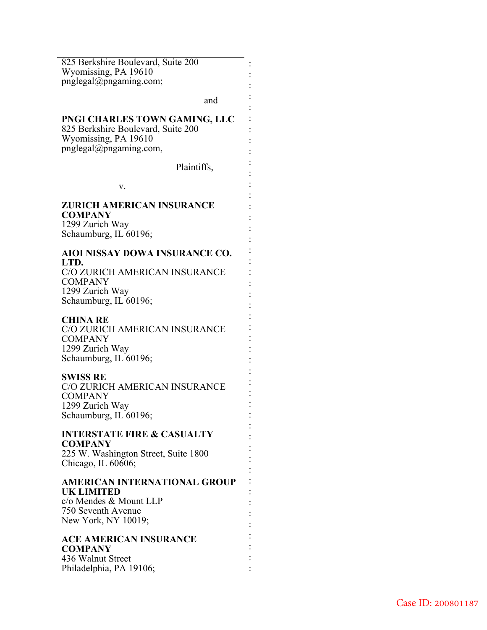825 Berkshire Boulevard, Suite 200 Wyomissing, PA 19610 pnglegal@pngaming.com;

and

: : : : : : : : : : : : : : : : : : : : : : : : : : : : : : : : : : : : : : : : : : : : : : :

#### **PNGI CHARLES TOWN GAMING, LLC**

825 Berkshire Boulevard, Suite 200 Wyomissing, PA 19610 pnglegal@pngaming.com,

Plaintiffs,

v.

#### **ZURICH AMERICAN INSURANCE COMPANY**

1299 Zurich Way Schaumburg, IL 60196;

#### **AIOI NISSAY DOWA INSURANCE CO. LTD.**

C/O ZURICH AMERICAN INSURANCE COMPANY 1299 Zurich Way Schaumburg, IL 60196;

### **CHINA RE**

C/O ZURICH AMERICAN INSURANCE COMPANY 1299 Zurich Way Schaumburg, IL 60196;

### **SWISS RE**

C/O ZURICH AMERICAN INSURANCE **COMPANY** 1299 Zurich Way Schaumburg, IL 60196;

#### **INTERSTATE FIRE & CASUALTY COMPANY**

225 W. Washington Street, Suite 1800 Chicago, IL 60606;

## **AMERICAN INTERNATIONAL GROUP UK LIMITED**

c/o Mendes & Mount LLP 750 Seventh Avenue New York, NY 10019;

## **ACE AMERICAN INSURANCE COMPANY**  436 Walnut Street Philadelphia, PA 19106;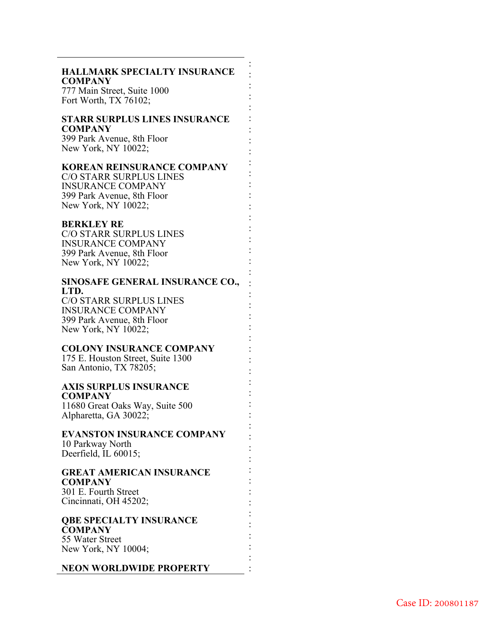### **HALLMARK SPECIALTY INSURANCE COMPANY**

: : : : : : : : : : : : : : : : : : : : : : : : : : : : : : : : : : : : : : : : : : : : : : :

777 Main Street, Suite 1000 Fort Worth, TX 76102;

#### **STARR SURPLUS LINES INSURANCE COMPANY**

399 Park Avenue, 8th Floor New York, NY 10022;

#### **KOREAN REINSURANCE COMPANY**

C/O STARR SURPLUS LINES INSURANCE COMPANY 399 Park Avenue, 8th Floor New York, NY 10022;

#### **BERKLEY RE**

C/O STARR SURPLUS LINES INSURANCE COMPANY 399 Park Avenue, 8th Floor New York, NY 10022;

# **SINOSAFE GENERAL INSURANCE CO., LTD.**

C/O STARR SURPLUS LINES INSURANCE COMPANY 399 Park Avenue, 8th Floor New York, NY 10022;

### **COLONY INSURANCE COMPANY**

175 E. Houston Street, Suite 1300 San Antonio, TX 78205;

#### **AXIS SURPLUS INSURANCE COMPANY**

11680 Great Oaks Way, Suite 500 Alpharetta, GA 30022;

#### **EVANSTON INSURANCE COMPANY** 10 Parkway North

Deerfield, IL 60015;

### **GREAT AMERICAN INSURANCE COMPANY** 301 E. Fourth Street Cincinnati, OH 45202;

**QBE SPECIALTY INSURANCE COMPANY**  55 Water Street

New York, NY 10004;

**NEON WORLDWIDE PROPERTY**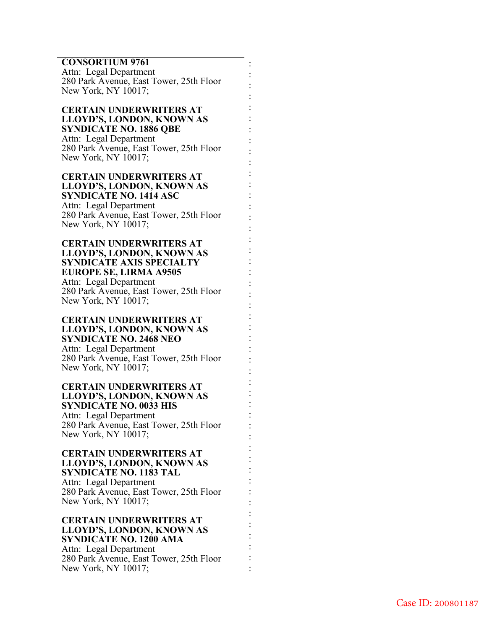# **CONSORTIUM 9761**

Attn: Legal Department 280 Park Avenue, East Tower, 25th Floor New York, NY 10017;

: : : : : : : : : : : : : : : : : : : : : : : : : : : : : : : : : : : : : : : : : : : : : : :

**CERTAIN UNDERWRITERS AT LLOYD'S, LONDON, KNOWN AS SYNDICATE NO. 1886 QBE** Attn: Legal Department 280 Park Avenue, East Tower, 25th Floor New York, NY 10017;

**CERTAIN UNDERWRITERS AT LLOYD'S, LONDON, KNOWN AS SYNDICATE NO. 1414 ASC**  Attn: Legal Department 280 Park Avenue, East Tower, 25th Floor New York, NY 10017;

**CERTAIN UNDERWRITERS AT LLOYD'S, LONDON, KNOWN AS SYNDICATE AXIS SPECIALTY EUROPE SE, LIRMA A9505**  Attn: Legal Department 280 Park Avenue, East Tower, 25th Floor New York, NY 10017;

**CERTAIN UNDERWRITERS AT LLOYD'S, LONDON, KNOWN AS SYNDICATE NO. 2468 NEO**  Attn: Legal Department 280 Park Avenue, East Tower, 25th Floor New York, NY 10017;

**CERTAIN UNDERWRITERS AT LLOYD'S, LONDON, KNOWN AS SYNDICATE NO. 0033 HIS** Attn: Legal Department 280 Park Avenue, East Tower, 25th Floor New York, NY 10017;

**CERTAIN UNDERWRITERS AT LLOYD'S, LONDON, KNOWN AS SYNDICATE NO. 1183 TAL**  Attn: Legal Department 280 Park Avenue, East Tower, 25th Floor New York, NY 10017;

**CERTAIN UNDERWRITERS AT LLOYD'S, LONDON, KNOWN AS SYNDICATE NO. 1200 AMA**  Attn: Legal Department 280 Park Avenue, East Tower, 25th Floor New York, NY 10017;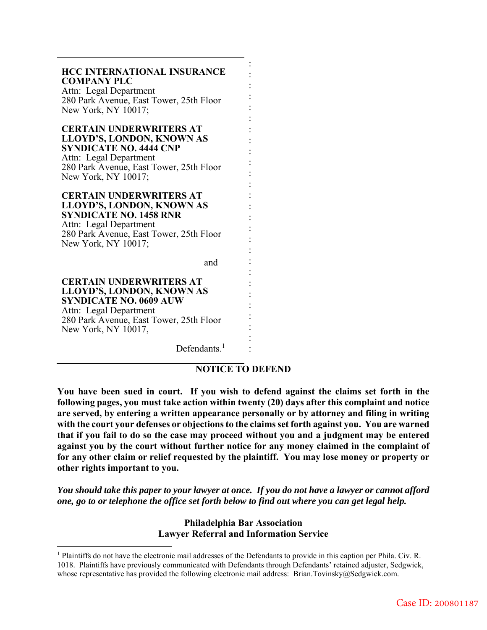# **HCC INTERNATIONAL INSURANCE COMPANY PLC** Attn: Legal Department 280 Park Avenue, East Tower, 25th Floor New York, NY 10017; **CERTAIN UNDERWRITERS AT LLOYD'S, LONDON, KNOWN AS SYNDICATE NO. 4444 CNP**  Attn: Legal Department 280 Park Avenue, East Tower, 25th Floor New York, NY 10017; **CERTAIN UNDERWRITERS AT LLOYD'S, LONDON, KNOWN AS SYNDICATE NO. 1458 RNR**  Attn: Legal Department 280 Park Avenue, East Tower, 25th Floor New York, NY 10017; and **CERTAIN UNDERWRITERS AT LLOYD'S, LONDON, KNOWN AS SYNDICATE NO. 0609 AUW**

Attn: Legal Department 280 Park Avenue, East Tower, 25th Floor New York, NY 10017,

 $\overline{a}$ 

Defendants.<sup>1</sup>

## **NOTICE TO DEFEND**

: : : : : : : : : : : : : : : : : : : : : : : : : : :

**You have been sued in court. If you wish to defend against the claims set forth in the following pages, you must take action within twenty (20) days after this complaint and notice are served, by entering a written appearance personally or by attorney and filing in writing with the court your defenses or objections to the claims set forth against you. You are warned that if you fail to do so the case may proceed without you and a judgment may be entered against you by the court without further notice for any money claimed in the complaint of for any other claim or relief requested by the plaintiff. You may lose money or property or other rights important to you.** 

*You should take this paper to your lawyer at once. If you do not have a lawyer or cannot afford one, go to or telephone the office set forth below to find out where you can get legal help.* 

> **Philadelphia Bar Association Lawyer Referral and Information Service**

<sup>&</sup>lt;sup>1</sup> Plaintiffs do not have the electronic mail addresses of the Defendants to provide in this caption per Phila. Civ. R. 1018. Plaintiffs have previously communicated with Defendants through Defendants' retained adjuster, Sedgwick, whose representative has provided the following electronic mail address: Brian.Tovinsky@Sedgwick.com.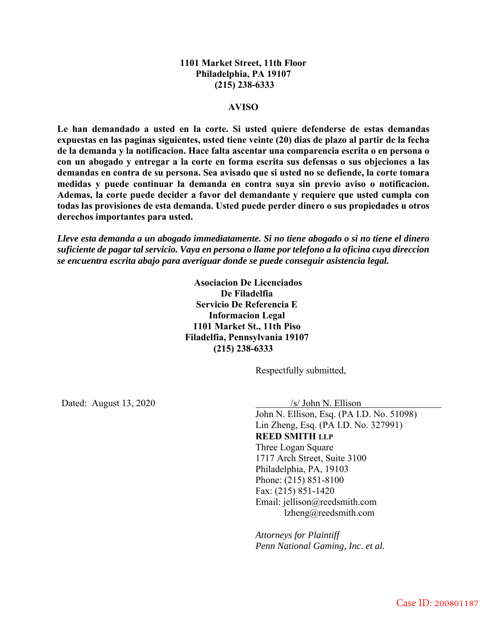## **1101 Market Street, 11th Floor Philadelphia, PA 19107 (215) 238-6333**

#### **AVISO**

**Le han demandado a usted en la corte. Si usted quiere defenderse de estas demandas expuestas en las paginas siguientes, usted tiene veinte (20) dias de plazo al partir de la fecha de la demanda y la notificacion. Hace falta ascentar una comparencia escrita o en persona o con un abogado y entregar a la corte en forma escrita sus defensas o sus objeciones a las demandas en contra de su persona. Sea avisado que si usted no se defiende, la corte tomara medidas y puede continuar la demanda en contra suya sin previo aviso o notificacion. Ademas, la corte puede decider a favor del demandante y requiere que usted cumpla con todas las provisiones de esta demanda. Usted puede perder dinero o sus propiedades u otros derechos importantes para usted.** 

*Lleve esta demanda a un abogado immediatamente. Si no tiene abogado o si no tiene el dinero suficiente de pagar tal servicio. Vaya en persona o llame por telefono a la oficina cuya direccion se encuentra escrita abajo para averiguar donde se puede conseguir asistencia legal.* 

> **Asociacion De Licenciados De Filadelfia Servicio De Referencia E Informacion Legal 1101 Market St., 11th Piso Filadelfia, Pennsylvania 19107 (215) 238-6333**

> > Respectfully submitted,

Dated: August 13, 2020 /s/ John N. Ellison

John N. Ellison, Esq. (PA I.D. No. 51098) Lin Zheng, Esq. (PA I.D. No. 327991) **REED SMITH LLP** Three Logan Square 1717 Arch Street, Suite 3100 Philadelphia, PA, 19103 Phone: (215) 851-8100 Fax: (215) 851-1420 Email: jellison@reedsmith.com lzheng@reedsmith.com

*Attorneys for Plaintiff Penn National Gaming, Inc. et al.*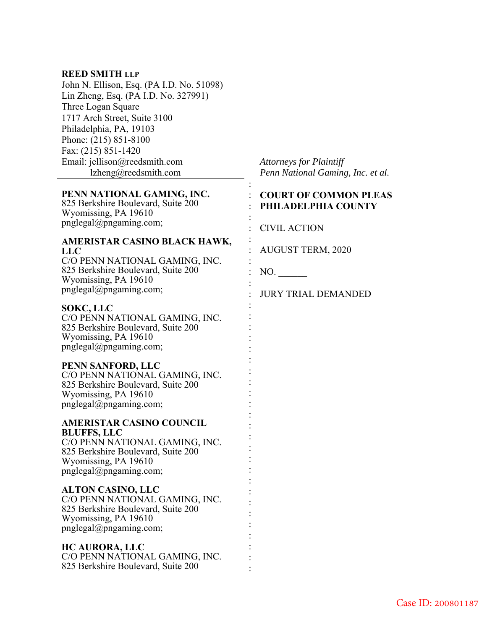## **REED SMITH LLP**

John N. Ellison, Esq. (PA I.D. No. 51098) Lin Zheng, Esq. (PA I.D. No. 327991) Three Logan Square 1717 Arch Street, Suite 3100 Philadelphia, PA, 19103 Phone: (215) 851-8100 Fax: (215) 851-1420 Email: jellison@reedsmith.com lzheng@reedsmith.com

## **PENN NATIONAL GAMING, INC.**

825 Berkshire Boulevard, Suite 200 Wyomissing, PA 19610 pnglegal@pngaming.com;

### **AMERISTAR CASINO BLACK HAWK, LLC**

C/O PENN NATIONAL GAMING, INC. 825 Berkshire Boulevard, Suite 200 Wyomissing, PA 19610 pnglegal@pngaming.com;

## **SOKC, LLC**

C/O PENN NATIONAL GAMING, INC. 825 Berkshire Boulevard, Suite 200 Wyomissing, PA 19610 pnglegal@pngaming.com;

#### **PENN SANFORD, LLC**

C/O PENN NATIONAL GAMING, INC. 825 Berkshire Boulevard, Suite 200 Wyomissing, PA 19610 pnglegal@pngaming.com;

### **AMERISTAR CASINO COUNCIL BLUFFS, LLC**  C/O PENN NATIONAL GAMING, INC. 825 Berkshire Boulevard, Suite 200

Wyomissing, PA 19610 pnglegal@pngaming.com;

## **ALTON CASINO, LLC**

C/O PENN NATIONAL GAMING, INC. 825 Berkshire Boulevard, Suite 200 Wyomissing, PA 19610 pnglegal@pngaming.com;

## **HC AURORA, LLC**

C/O PENN NATIONAL GAMING, INC. 825 Berkshire Boulevard, Suite 200

*Attorneys for Plaintiff Penn National Gaming, Inc. et al.*

## : **COURT OF COMMON PLEAS**  : **PHILADELPHIA COUNTY**

: CIVIL ACTION

: AUGUST TERM, 2020

: NO.

:

:

:

:

:

: : : : : : : : : : : : : : : : : : : : : : : : :

: JURY TRIAL DEMANDED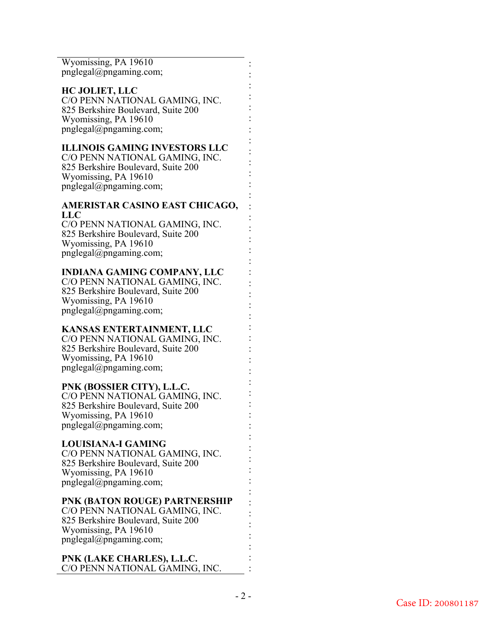Wyomissing, PA 19610 pnglegal@pngaming.com;

#### **HC JOLIET, LLC**  C/O PENN NATIONAL GAMING, INC. 825 Berkshire Boulevard, Suite 200 Wyomissing, PA 19610 pnglegal@pngaming.com;

## **ILLINOIS GAMING INVESTORS LLC**

C/O PENN NATIONAL GAMING, INC. 825 Berkshire Boulevard, Suite 200 Wyomissing, PA 19610 pnglegal@pngaming.com;

## **AMERISTAR CASINO EAST CHICAGO, LLC**

C/O PENN NATIONAL GAMING, INC. 825 Berkshire Boulevard, Suite 200 Wyomissing, PA 19610 pnglegal@pngaming.com;

## **INDIANA GAMING COMPANY, LLC**

C/O PENN NATIONAL GAMING, INC. 825 Berkshire Boulevard, Suite 200 Wyomissing, PA 19610 pnglegal@pngaming.com;

## **KANSAS ENTERTAINMENT, LLC**

C/O PENN NATIONAL GAMING, INC. 825 Berkshire Boulevard, Suite 200 Wyomissing, PA 19610 pnglegal@pngaming.com;

## **PNK (BOSSIER CITY), L.L.C.**

C/O PENN NATIONAL GAMING, INC. 825 Berkshire Boulevard, Suite 200 Wyomissing, PA 19610 pnglegal@pngaming.com;

## **LOUISIANA-I GAMING**

C/O PENN NATIONAL GAMING, INC. 825 Berkshire Boulevard, Suite 200 Wyomissing, PA 19610 pnglegal@pngaming.com;

## **PNK (BATON ROUGE) PARTNERSHIP**

C/O PENN NATIONAL GAMING, INC. 825 Berkshire Boulevard, Suite 200 Wyomissing, PA 19610 pnglegal@pngaming.com;

## **PNK (LAKE CHARLES), L.L.C.**  C/O PENN NATIONAL GAMING, INC.

: : : : : : : : : : : : : : : : : : : : : : : : : : : : : : : : : : : : : : : : : : : : : : :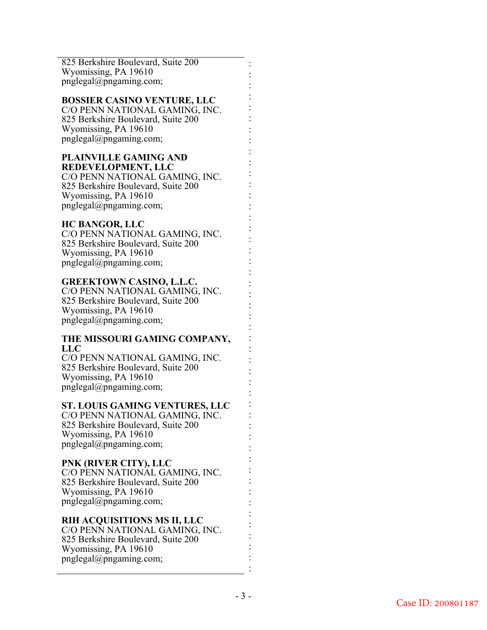825 Berkshire Boulevard, Suite 200 Wyomissing, PA 19610 pnglegal@pngaming.com;

## **BOSSIER CASINO VENTURE, LLC**

C/O PENN NATIONAL GAMING, INC. 825 Berkshire Boulevard, Suite 200 Wyomissing, PA 19610 pnglegal@pngaming.com;

#### **PLAINVILLE GAMING AND REDEVELOPMENT, LLC**

C/O PENN NATIONAL GAMING, INC. 825 Berkshire Boulevard, Suite 200 Wyomissing, PA 19610 pnglegal@pngaming.com;

## **HC BANGOR, LLC**

C/O PENN NATIONAL GAMING, INC. 825 Berkshire Boulevard, Suite 200 Wyomissing, PA 19610 pnglegal@pngaming.com;

## **GREEKTOWN CASINO, L.L.C.**

C/O PENN NATIONAL GAMING, INC. 825 Berkshire Boulevard, Suite 200 Wyomissing, PA 19610 pnglegal@pngaming.com;

## **THE MISSOURI GAMING COMPANY, LLC**

C/O PENN NATIONAL GAMING, INC. 825 Berkshire Boulevard, Suite 200 Wyomissing, PA 19610 pnglegal@pngaming.com;

## **ST. LOUIS GAMING VENTURES, LLC**

C/O PENN NATIONAL GAMING, INC. 825 Berkshire Boulevard, Suite 200 Wyomissing, PA 19610 pnglegal@pngaming.com;

## **PNK (RIVER CITY), LLC**

C/O PENN NATIONAL GAMING, INC. 825 Berkshire Boulevard, Suite 200 Wyomissing, PA 19610 pnglegal@pngaming.com;

## **RIH ACQUISITIONS MS II, LLC**

C/O PENN NATIONAL GAMING, INC. 825 Berkshire Boulevard, Suite 200 Wyomissing, PA 19610 pnglegal@pngaming.com;

: : : : : : : : : : : : : : : : : : : : : : : : : : : : : : : : : : : : : : : : : : : : : : :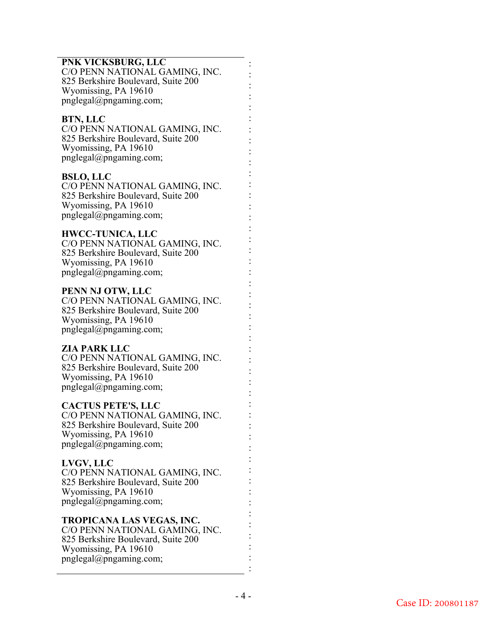## **PNK VICKSBURG, LLC**

C/O PENN NATIONAL GAMING, INC. 825 Berkshire Boulevard, Suite 200 Wyomissing, PA 19610 pnglegal@pngaming.com;

: : : : : : : : : : : : : : : : : : : : : : : : : : : : : : : : : : : : : : : : : : : : : : :

## **BTN, LLC**

C/O PENN NATIONAL GAMING, INC. 825 Berkshire Boulevard, Suite 200 Wyomissing, PA 19610 pnglegal@pngaming.com;

## **BSLO, LLC**

C/O PENN NATIONAL GAMING, INC. 825 Berkshire Boulevard, Suite 200 Wyomissing, PA 19610 pnglegal@pngaming.com;

## **HWCC-TUNICA, LLC**

C/O PENN NATIONAL GAMING, INC. 825 Berkshire Boulevard, Suite 200 Wyomissing, PA 19610 pnglegal@pngaming.com;

## **PENN NJ OTW, LLC**

C/O PENN NATIONAL GAMING, INC. 825 Berkshire Boulevard, Suite 200 Wyomissing, PA 19610 pnglegal@pngaming.com;

## **ZIA PARK LLC**

C/O PENN NATIONAL GAMING, INC. 825 Berkshire Boulevard, Suite 200 Wyomissing, PA 19610 pnglegal@pngaming.com;

## **CACTUS PETE'S, LLC**

C/O PENN NATIONAL GAMING, INC. 825 Berkshire Boulevard, Suite 200 Wyomissing, PA 19610 pnglegal@pngaming.com;

## **LVGV, LLC**

C/O PENN NATIONAL GAMING, INC. 825 Berkshire Boulevard, Suite 200 Wyomissing, PA 19610 pnglegal@pngaming.com;

## **TROPICANA LAS VEGAS, INC.**

C/O PENN NATIONAL GAMING, INC. 825 Berkshire Boulevard, Suite 200 Wyomissing, PA 19610 pnglegal@pngaming.com;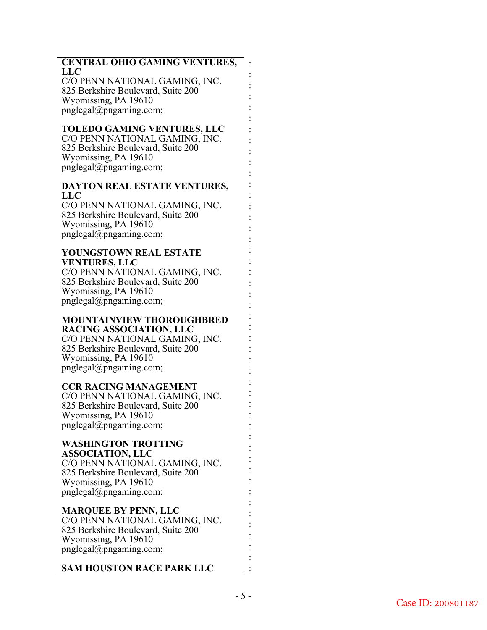## **CENTRAL OHIO GAMING VENTURES,**  : **LLC**

: : : : : : : : : : : : : : : : : : : : : : : : : : : : : : : : : : : : : : : : : : : : : :

C/O PENN NATIONAL GAMING, INC. 825 Berkshire Boulevard, Suite 200 Wyomissing, PA 19610 pnglegal@pngaming.com;

## **TOLEDO GAMING VENTURES, LLC**

C/O PENN NATIONAL GAMING, INC. 825 Berkshire Boulevard, Suite 200 Wyomissing, PA 19610 pnglegal@pngaming.com;

## **DAYTON REAL ESTATE VENTURES, LLC**

C/O PENN NATIONAL GAMING, INC. 825 Berkshire Boulevard, Suite 200 Wyomissing, PA 19610 pnglegal@pngaming.com;

#### **YOUNGSTOWN REAL ESTATE VENTURES, LLC**

C/O PENN NATIONAL GAMING, INC. 825 Berkshire Boulevard, Suite 200 Wyomissing, PA 19610 pnglegal@pngaming.com;

#### **MOUNTAINVIEW THOROUGHBRED RACING ASSOCIATION, LLC**

C/O PENN NATIONAL GAMING, INC. 825 Berkshire Boulevard, Suite 200 Wyomissing, PA 19610 pnglegal@pngaming.com;

## **CCR RACING MANAGEMENT**

C/O PENN NATIONAL GAMING, INC. 825 Berkshire Boulevard, Suite 200 Wyomissing, PA 19610 pnglegal@pngaming.com;

#### **WASHINGTON TROTTING ASSOCIATION, LLC**

C/O PENN NATIONAL GAMING, INC. 825 Berkshire Boulevard, Suite 200 Wyomissing, PA 19610 pnglegal@pngaming.com;

# **MARQUEE BY PENN, LLC**

C/O PENN NATIONAL GAMING, INC. 825 Berkshire Boulevard, Suite 200 Wyomissing, PA 19610 pnglegal@pngaming.com;

# **SAM HOUSTON RACE PARK LLC**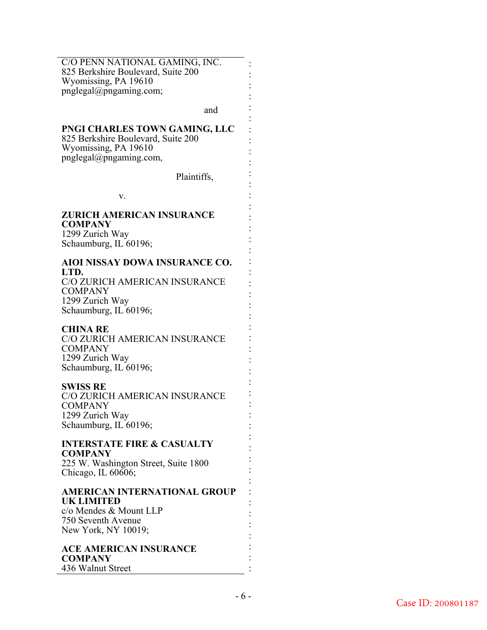C/O PENN NATIONAL GAMING, INC. 825 Berkshire Boulevard, Suite 200 Wyomissing, PA 19610 pnglegal@pngaming.com;

and

: : : : : : : : : : : : : : : : : : : : : : : : : : : : : : : : : : : : : : : : : : : : : : :

## **PNGI CHARLES TOWN GAMING, LLC**

825 Berkshire Boulevard, Suite 200 Wyomissing, PA 19610 pnglegal@pngaming.com,

Plaintiffs,

v.

## **ZURICH AMERICAN INSURANCE COMPANY**  1299 Zurich Way

Schaumburg, IL 60196;

## **AIOI NISSAY DOWA INSURANCE CO. LTD.**

C/O ZURICH AMERICAN INSURANCE **COMPANY** 1299 Zurich Way Schaumburg, IL 60196;

## **CHINA RE**

C/O ZURICH AMERICAN INSURANCE **COMPANY** 1299 Zurich Way Schaumburg, IL 60196;

## **SWISS RE**

C/O ZURICH AMERICAN INSURANCE COMPANY 1299 Zurich Way Schaumburg, IL 60196;

#### **INTERSTATE FIRE & CASUALTY COMPANY**

225 W. Washington Street, Suite 1800 Chicago, IL 60606;

# **AMERICAN INTERNATIONAL GROUP UK LIMITED**

c/o Mendes & Mount LLP 750 Seventh Avenue New York, NY 10019;

**ACE AMERICAN INSURANCE COMPANY**  436 Walnut Street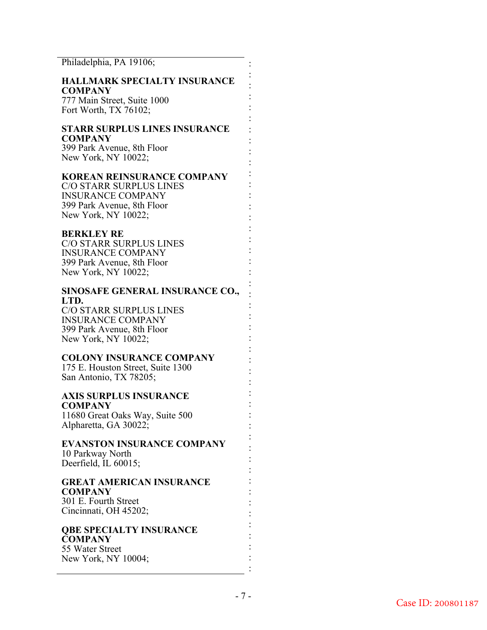Philadelphia, PA 19106;

### **HALLMARK SPECIALTY INSURANCE COMPANY**

: : : : : : : : : : : : : : : : : : : : : : : : : : : : : : : : : : : : : : : : : : : : : : :

777 Main Street, Suite 1000 Fort Worth, TX 76102;

## **STARR SURPLUS LINES INSURANCE COMPANY**

399 Park Avenue, 8th Floor New York, NY 10022;

## **KOREAN REINSURANCE COMPANY**

C/O STARR SURPLUS LINES INSURANCE COMPANY 399 Park Avenue, 8th Floor New York, NY 10022;

## **BERKLEY RE**

C/O STARR SURPLUS LINES INSURANCE COMPANY 399 Park Avenue, 8th Floor New York, NY 10022;

## **SINOSAFE GENERAL INSURANCE CO., LTD.**

C/O STARR SURPLUS LINES INSURANCE COMPANY 399 Park Avenue, 8th Floor New York, NY 10022;

## **COLONY INSURANCE COMPANY**

175 E. Houston Street, Suite 1300 San Antonio, TX 78205;

#### **AXIS SURPLUS INSURANCE COMPANY**

11680 Great Oaks Way, Suite 500 Alpharetta, GA 30022;

### **EVANSTON INSURANCE COMPANY** 10 Parkway North Deerfield, IL 60015;

## **GREAT AMERICAN INSURANCE COMPANY**

301 E. Fourth Street Cincinnati, OH 45202;

#### **QBE SPECIALTY INSURANCE COMPANY**  55 Water Street

New York, NY 10004;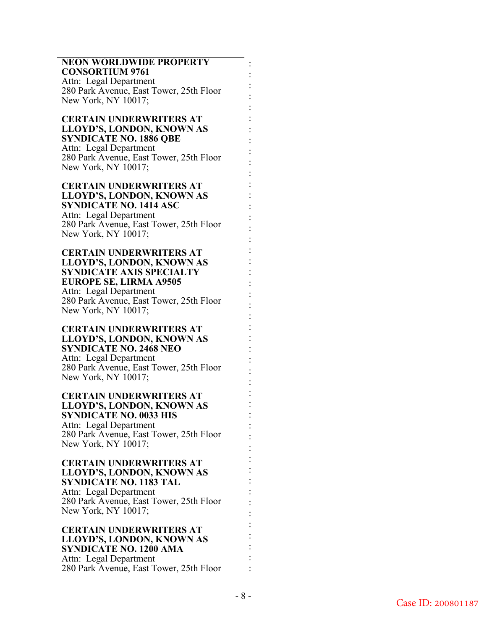#### **NEON WORLDWIDE PROPERTY CONSORTIUM 9761**

Attn: Legal Department 280 Park Avenue, East Tower, 25th Floor New York, NY 10017;

### **CERTAIN UNDERWRITERS AT LLOYD'S, LONDON, KNOWN AS SYNDICATE NO. 1886 QBE** Attn: Legal Department 280 Park Avenue, East Tower, 25th Floor New York, NY 10017;

### **CERTAIN UNDERWRITERS AT LLOYD'S, LONDON, KNOWN AS SYNDICATE NO. 1414 ASC**  Attn: Legal Department

280 Park Avenue, East Tower, 25th Floor New York, NY 10017;

### **CERTAIN UNDERWRITERS AT LLOYD'S, LONDON, KNOWN AS SYNDICATE AXIS SPECIALTY EUROPE SE, LIRMA A9505**  Attn: Legal Department 280 Park Avenue, East Tower, 25th Floor New York, NY 10017;

### **CERTAIN UNDERWRITERS AT LLOYD'S, LONDON, KNOWN AS SYNDICATE NO. 2468 NEO**  Attn: Legal Department 280 Park Avenue, East Tower, 25th Floor New York, NY 10017;

### **CERTAIN UNDERWRITERS AT LLOYD'S, LONDON, KNOWN AS SYNDICATE NO. 0033 HIS** Attn: Legal Department

280 Park Avenue, East Tower, 25th Floor New York, NY 10017;

### **CERTAIN UNDERWRITERS AT LLOYD'S, LONDON, KNOWN AS SYNDICATE NO. 1183 TAL**  Attn: Legal Department

280 Park Avenue, East Tower, 25th Floor New York, NY 10017;

#### **CERTAIN UNDERWRITERS AT LLOYD'S, LONDON, KNOWN AS SYNDICATE NO. 1200 AMA**  Attn: Legal Department 280 Park Avenue, East Tower, 25th Floor

: : : : : : : : : : : : : : : : : : : : : : : : : : : : : : : : : : : : : : : : : : : : : : :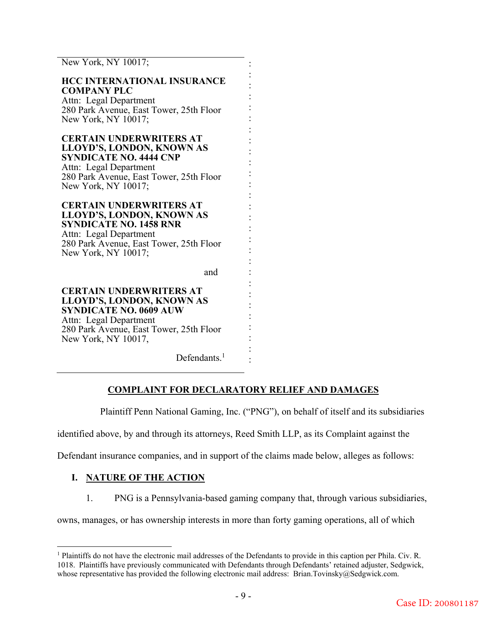New York, NY 10017; **HCC INTERNATIONAL INSURANCE COMPANY PLC** Attn: Legal Department 280 Park Avenue, East Tower, 25th Floor New York, NY 10017; **CERTAIN UNDERWRITERS AT LLOYD'S, LONDON, KNOWN AS SYNDICATE NO. 4444 CNP**  Attn: Legal Department 280 Park Avenue, East Tower, 25th Floor New York, NY 10017; **CERTAIN UNDERWRITERS AT LLOYD'S, LONDON, KNOWN AS SYNDICATE NO. 1458 RNR**  Attn: Legal Department 280 Park Avenue, East Tower, 25th Floor New York, NY 10017; and **CERTAIN UNDERWRITERS AT LLOYD'S, LONDON, KNOWN AS SYNDICATE NO. 0609 AUW** Attn: Legal Department 280 Park Avenue, East Tower, 25th Floor New York, NY 10017, : : : : : : : : : : : : : : : : : : : : : : : : : :

Defendants.<sup>1</sup>

## **COMPLAINT FOR DECLARATORY RELIEF AND DAMAGES**

: :

Plaintiff Penn National Gaming, Inc. ("PNG"), on behalf of itself and its subsidiaries

identified above, by and through its attorneys, Reed Smith LLP, as its Complaint against the

Defendant insurance companies, and in support of the claims made below, alleges as follows:

## **I. NATURE OF THE ACTION**

 $\overline{a}$ 

1. PNG is a Pennsylvania-based gaming company that, through various subsidiaries,

owns, manages, or has ownership interests in more than forty gaming operations, all of which

<sup>&</sup>lt;sup>1</sup> Plaintiffs do not have the electronic mail addresses of the Defendants to provide in this caption per Phila. Civ. R. 1018. Plaintiffs have previously communicated with Defendants through Defendants' retained adjuster, Sedgwick, whose representative has provided the following electronic mail address: Brian.Tovinsky@Sedgwick.com.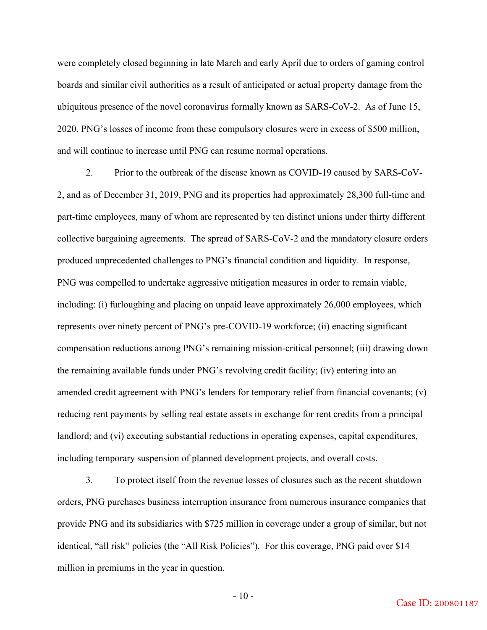were completely closed beginning in late March and early April due to orders of gaming control boards and similar civil authorities as a result of anticipated or actual property damage from the ubiquitous presence of the novel coronavirus formally known as SARS-CoV-2. As of June 15, 2020, PNG's losses of income from these compulsory closures were in excess of \$500 million, and will continue to increase until PNG can resume normal operations.

2. Prior to the outbreak of the disease known as COVID-19 caused by SARS-CoV-2, and as of December 31, 2019, PNG and its properties had approximately 28,300 full-time and part-time employees, many of whom are represented by ten distinct unions under thirty different collective bargaining agreements. The spread of SARS-CoV-2 and the mandatory closure orders produced unprecedented challenges to PNG's financial condition and liquidity. In response, PNG was compelled to undertake aggressive mitigation measures in order to remain viable, including: (i) furloughing and placing on unpaid leave approximately 26,000 employees, which represents over ninety percent of PNG's pre-COVID-19 workforce; (ii) enacting significant compensation reductions among PNG's remaining mission-critical personnel; (iii) drawing down the remaining available funds under PNG's revolving credit facility; (iv) entering into an amended credit agreement with PNG's lenders for temporary relief from financial covenants; (v) reducing rent payments by selling real estate assets in exchange for rent credits from a principal landlord; and (vi) executing substantial reductions in operating expenses, capital expenditures, including temporary suspension of planned development projects, and overall costs.

3. To protect itself from the revenue losses of closures such as the recent shutdown orders, PNG purchases business interruption insurance from numerous insurance companies that provide PNG and its subsidiaries with \$725 million in coverage under a group of similar, but not identical, "all risk" policies (the "All Risk Policies"). For this coverage, PNG paid over \$14 million in premiums in the year in question.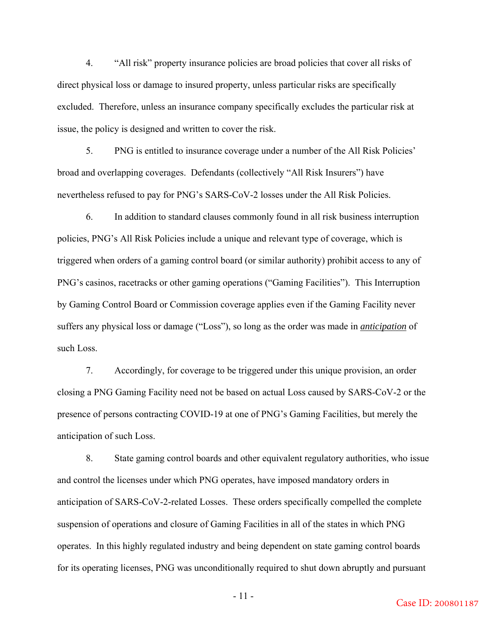4. "All risk" property insurance policies are broad policies that cover all risks of direct physical loss or damage to insured property, unless particular risks are specifically excluded. Therefore, unless an insurance company specifically excludes the particular risk at issue, the policy is designed and written to cover the risk.

5. PNG is entitled to insurance coverage under a number of the All Risk Policies' broad and overlapping coverages. Defendants (collectively "All Risk Insurers") have nevertheless refused to pay for PNG's SARS-CoV-2 losses under the All Risk Policies.

6. In addition to standard clauses commonly found in all risk business interruption policies, PNG's All Risk Policies include a unique and relevant type of coverage, which is triggered when orders of a gaming control board (or similar authority) prohibit access to any of PNG's casinos, racetracks or other gaming operations ("Gaming Facilities"). This Interruption by Gaming Control Board or Commission coverage applies even if the Gaming Facility never suffers any physical loss or damage ("Loss"), so long as the order was made in *anticipation* of such Loss.

7. Accordingly, for coverage to be triggered under this unique provision, an order closing a PNG Gaming Facility need not be based on actual Loss caused by SARS-CoV-2 or the presence of persons contracting COVID-19 at one of PNG's Gaming Facilities, but merely the anticipation of such Loss.

8. State gaming control boards and other equivalent regulatory authorities, who issue and control the licenses under which PNG operates, have imposed mandatory orders in anticipation of SARS-CoV-2-related Losses. These orders specifically compelled the complete suspension of operations and closure of Gaming Facilities in all of the states in which PNG operates. In this highly regulated industry and being dependent on state gaming control boards for its operating licenses, PNG was unconditionally required to shut down abruptly and pursuant

- 11 -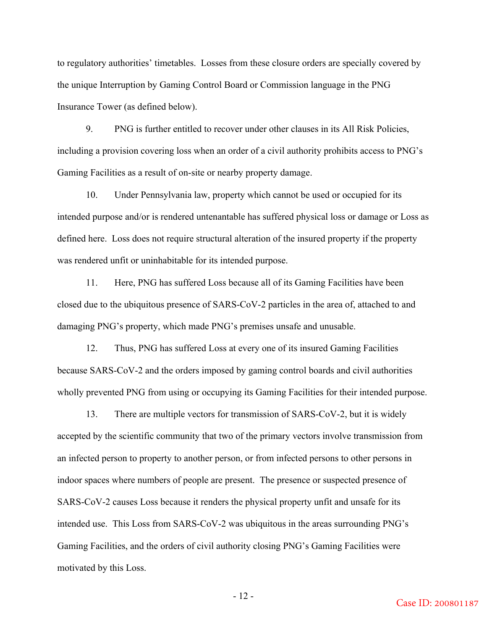to regulatory authorities' timetables. Losses from these closure orders are specially covered by the unique Interruption by Gaming Control Board or Commission language in the PNG Insurance Tower (as defined below).

9. PNG is further entitled to recover under other clauses in its All Risk Policies, including a provision covering loss when an order of a civil authority prohibits access to PNG's Gaming Facilities as a result of on-site or nearby property damage.

10. Under Pennsylvania law, property which cannot be used or occupied for its intended purpose and/or is rendered untenantable has suffered physical loss or damage or Loss as defined here. Loss does not require structural alteration of the insured property if the property was rendered unfit or uninhabitable for its intended purpose.

11. Here, PNG has suffered Loss because all of its Gaming Facilities have been closed due to the ubiquitous presence of SARS-CoV-2 particles in the area of, attached to and damaging PNG's property, which made PNG's premises unsafe and unusable.

12. Thus, PNG has suffered Loss at every one of its insured Gaming Facilities because SARS-CoV-2 and the orders imposed by gaming control boards and civil authorities wholly prevented PNG from using or occupying its Gaming Facilities for their intended purpose.

13. There are multiple vectors for transmission of SARS-CoV-2, but it is widely accepted by the scientific community that two of the primary vectors involve transmission from an infected person to property to another person, or from infected persons to other persons in indoor spaces where numbers of people are present. The presence or suspected presence of SARS-CoV-2 causes Loss because it renders the physical property unfit and unsafe for its intended use. This Loss from SARS-CoV-2 was ubiquitous in the areas surrounding PNG's Gaming Facilities, and the orders of civil authority closing PNG's Gaming Facilities were motivated by this Loss.

- 12 -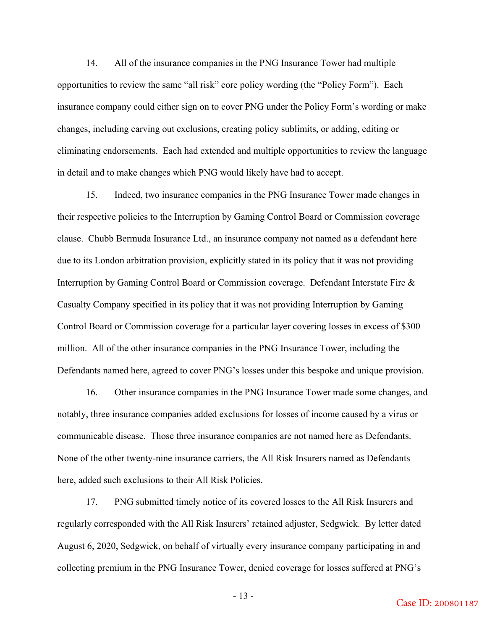14. All of the insurance companies in the PNG Insurance Tower had multiple opportunities to review the same "all risk" core policy wording (the "Policy Form"). Each insurance company could either sign on to cover PNG under the Policy Form's wording or make changes, including carving out exclusions, creating policy sublimits, or adding, editing or eliminating endorsements. Each had extended and multiple opportunities to review the language in detail and to make changes which PNG would likely have had to accept.

15. Indeed, two insurance companies in the PNG Insurance Tower made changes in their respective policies to the Interruption by Gaming Control Board or Commission coverage clause. Chubb Bermuda Insurance Ltd., an insurance company not named as a defendant here due to its London arbitration provision, explicitly stated in its policy that it was not providing Interruption by Gaming Control Board or Commission coverage. Defendant Interstate Fire & Casualty Company specified in its policy that it was not providing Interruption by Gaming Control Board or Commission coverage for a particular layer covering losses in excess of \$300 million. All of the other insurance companies in the PNG Insurance Tower, including the Defendants named here, agreed to cover PNG's losses under this bespoke and unique provision.

16. Other insurance companies in the PNG Insurance Tower made some changes, and notably, three insurance companies added exclusions for losses of income caused by a virus or communicable disease. Those three insurance companies are not named here as Defendants. None of the other twenty-nine insurance carriers, the All Risk Insurers named as Defendants here, added such exclusions to their All Risk Policies.

17. PNG submitted timely notice of its covered losses to the All Risk Insurers and regularly corresponded with the All Risk Insurers' retained adjuster, Sedgwick. By letter dated August 6, 2020, Sedgwick, on behalf of virtually every insurance company participating in and collecting premium in the PNG Insurance Tower, denied coverage for losses suffered at PNG's

- 13 -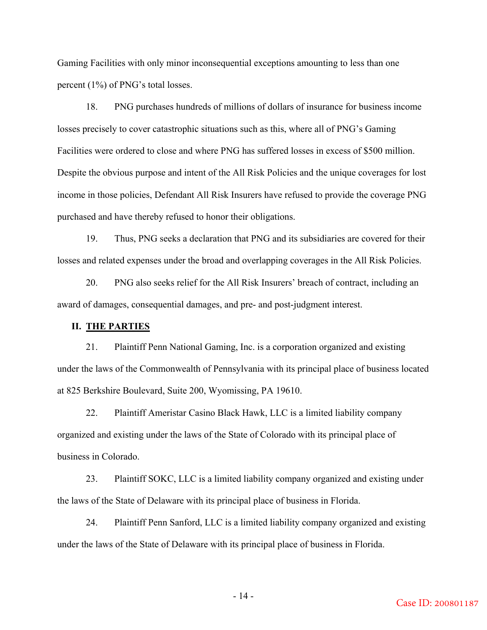Gaming Facilities with only minor inconsequential exceptions amounting to less than one percent (1%) of PNG's total losses.

18. PNG purchases hundreds of millions of dollars of insurance for business income losses precisely to cover catastrophic situations such as this, where all of PNG's Gaming Facilities were ordered to close and where PNG has suffered losses in excess of \$500 million. Despite the obvious purpose and intent of the All Risk Policies and the unique coverages for lost income in those policies, Defendant All Risk Insurers have refused to provide the coverage PNG purchased and have thereby refused to honor their obligations.

19. Thus, PNG seeks a declaration that PNG and its subsidiaries are covered for their losses and related expenses under the broad and overlapping coverages in the All Risk Policies.

20. PNG also seeks relief for the All Risk Insurers' breach of contract, including an award of damages, consequential damages, and pre- and post-judgment interest.

### **II. THE PARTIES**

21. Plaintiff Penn National Gaming, Inc. is a corporation organized and existing under the laws of the Commonwealth of Pennsylvania with its principal place of business located at 825 Berkshire Boulevard, Suite 200, Wyomissing, PA 19610.

22. Plaintiff Ameristar Casino Black Hawk, LLC is a limited liability company organized and existing under the laws of the State of Colorado with its principal place of business in Colorado.

23. Plaintiff SOKC, LLC is a limited liability company organized and existing under the laws of the State of Delaware with its principal place of business in Florida.

24. Plaintiff Penn Sanford, LLC is a limited liability company organized and existing under the laws of the State of Delaware with its principal place of business in Florida.

- 14 -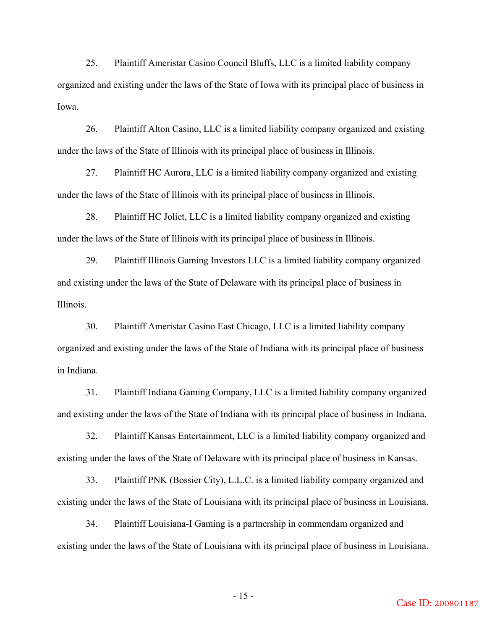25. Plaintiff Ameristar Casino Council Bluffs, LLC is a limited liability company organized and existing under the laws of the State of Iowa with its principal place of business in Iowa.

26. Plaintiff Alton Casino, LLC is a limited liability company organized and existing under the laws of the State of Illinois with its principal place of business in Illinois.

27. Plaintiff HC Aurora, LLC is a limited liability company organized and existing under the laws of the State of Illinois with its principal place of business in Illinois.

28. Plaintiff HC Joliet, LLC is a limited liability company organized and existing under the laws of the State of Illinois with its principal place of business in Illinois.

29. Plaintiff Illinois Gaming Investors LLC is a limited liability company organized and existing under the laws of the State of Delaware with its principal place of business in Illinois.

30. Plaintiff Ameristar Casino East Chicago, LLC is a limited liability company organized and existing under the laws of the State of Indiana with its principal place of business in Indiana.

31. Plaintiff Indiana Gaming Company, LLC is a limited liability company organized and existing under the laws of the State of Indiana with its principal place of business in Indiana.

32. Plaintiff Kansas Entertainment, LLC is a limited liability company organized and existing under the laws of the State of Delaware with its principal place of business in Kansas.

33. Plaintiff PNK (Bossier City), L.L.C. is a limited liability company organized and existing under the laws of the State of Louisiana with its principal place of business in Louisiana.

34. Plaintiff Louisiana-I Gaming is a partnership in commendam organized and existing under the laws of the State of Louisiana with its principal place of business in Louisiana.

- 15 -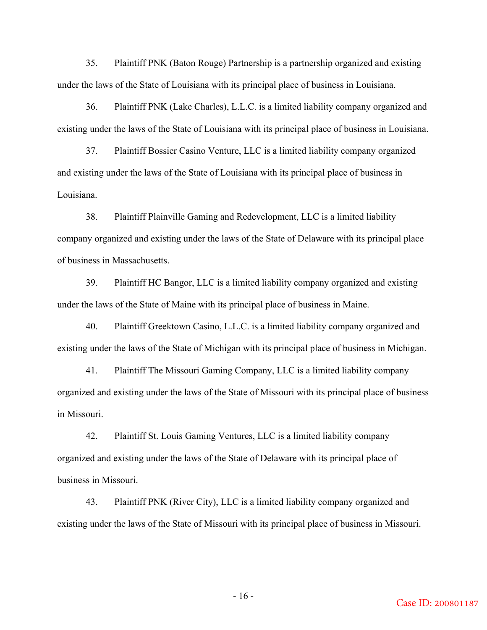35. Plaintiff PNK (Baton Rouge) Partnership is a partnership organized and existing under the laws of the State of Louisiana with its principal place of business in Louisiana.

36. Plaintiff PNK (Lake Charles), L.L.C. is a limited liability company organized and existing under the laws of the State of Louisiana with its principal place of business in Louisiana.

37. Plaintiff Bossier Casino Venture, LLC is a limited liability company organized and existing under the laws of the State of Louisiana with its principal place of business in Louisiana.

38. Plaintiff Plainville Gaming and Redevelopment, LLC is a limited liability company organized and existing under the laws of the State of Delaware with its principal place of business in Massachusetts.

39. Plaintiff HC Bangor, LLC is a limited liability company organized and existing under the laws of the State of Maine with its principal place of business in Maine.

40. Plaintiff Greektown Casino, L.L.C. is a limited liability company organized and existing under the laws of the State of Michigan with its principal place of business in Michigan.

41. Plaintiff The Missouri Gaming Company, LLC is a limited liability company organized and existing under the laws of the State of Missouri with its principal place of business in Missouri.

42. Plaintiff St. Louis Gaming Ventures, LLC is a limited liability company organized and existing under the laws of the State of Delaware with its principal place of business in Missouri.

43. Plaintiff PNK (River City), LLC is a limited liability company organized and existing under the laws of the State of Missouri with its principal place of business in Missouri.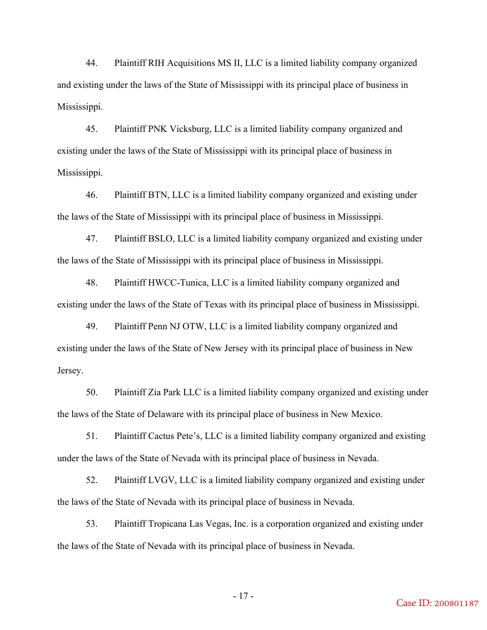44. Plaintiff RIH Acquisitions MS II, LLC is a limited liability company organized and existing under the laws of the State of Mississippi with its principal place of business in Mississippi.

45. Plaintiff PNK Vicksburg, LLC is a limited liability company organized and existing under the laws of the State of Mississippi with its principal place of business in Mississippi.

46. Plaintiff BTN, LLC is a limited liability company organized and existing under the laws of the State of Mississippi with its principal place of business in Mississippi.

47. Plaintiff BSLO, LLC is a limited liability company organized and existing under the laws of the State of Mississippi with its principal place of business in Mississippi.

48. Plaintiff HWCC-Tunica, LLC is a limited liability company organized and existing under the laws of the State of Texas with its principal place of business in Mississippi.

49. Plaintiff Penn NJ OTW, LLC is a limited liability company organized and existing under the laws of the State of New Jersey with its principal place of business in New Jersey.

50. Plaintiff Zia Park LLC is a limited liability company organized and existing under the laws of the State of Delaware with its principal place of business in New Mexico.

51. Plaintiff Cactus Pete's, LLC is a limited liability company organized and existing under the laws of the State of Nevada with its principal place of business in Nevada.

52. Plaintiff LVGV, LLC is a limited liability company organized and existing under the laws of the State of Nevada with its principal place of business in Nevada.

53. Plaintiff Tropicana Las Vegas, Inc. is a corporation organized and existing under the laws of the State of Nevada with its principal place of business in Nevada.

- 17 -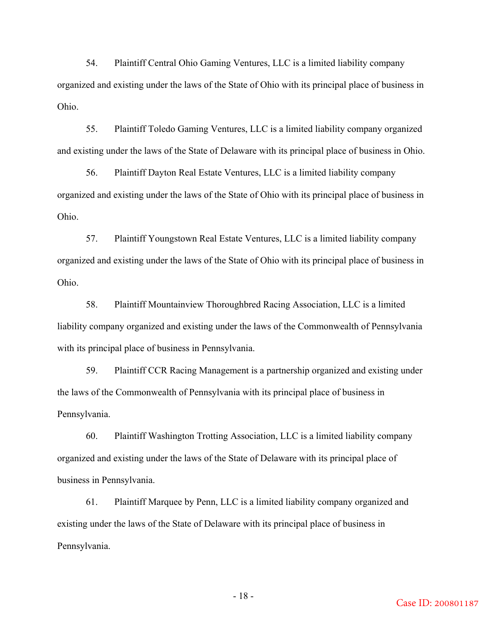54. Plaintiff Central Ohio Gaming Ventures, LLC is a limited liability company organized and existing under the laws of the State of Ohio with its principal place of business in Ohio.

55. Plaintiff Toledo Gaming Ventures, LLC is a limited liability company organized and existing under the laws of the State of Delaware with its principal place of business in Ohio.

56. Plaintiff Dayton Real Estate Ventures, LLC is a limited liability company organized and existing under the laws of the State of Ohio with its principal place of business in Ohio.

57. Plaintiff Youngstown Real Estate Ventures, LLC is a limited liability company organized and existing under the laws of the State of Ohio with its principal place of business in Ohio.

58. Plaintiff Mountainview Thoroughbred Racing Association, LLC is a limited liability company organized and existing under the laws of the Commonwealth of Pennsylvania with its principal place of business in Pennsylvania.

59. Plaintiff CCR Racing Management is a partnership organized and existing under the laws of the Commonwealth of Pennsylvania with its principal place of business in Pennsylvania.

60. Plaintiff Washington Trotting Association, LLC is a limited liability company organized and existing under the laws of the State of Delaware with its principal place of business in Pennsylvania.

61. Plaintiff Marquee by Penn, LLC is a limited liability company organized and existing under the laws of the State of Delaware with its principal place of business in Pennsylvania.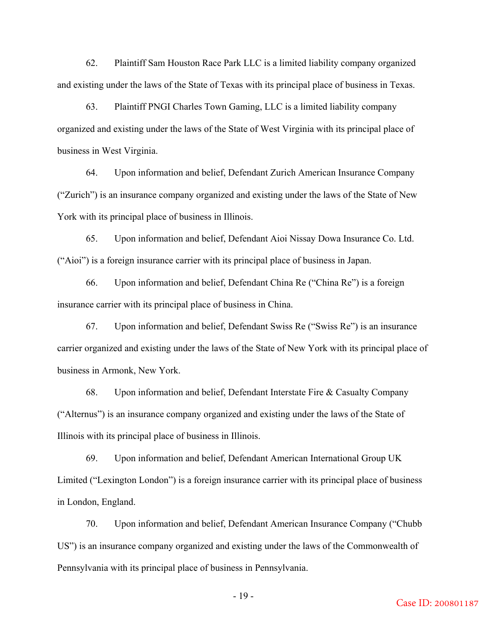62. Plaintiff Sam Houston Race Park LLC is a limited liability company organized and existing under the laws of the State of Texas with its principal place of business in Texas.

63. Plaintiff PNGI Charles Town Gaming, LLC is a limited liability company organized and existing under the laws of the State of West Virginia with its principal place of business in West Virginia.

64. Upon information and belief, Defendant Zurich American Insurance Company ("Zurich") is an insurance company organized and existing under the laws of the State of New York with its principal place of business in Illinois.

65. Upon information and belief, Defendant Aioi Nissay Dowa Insurance Co. Ltd. ("Aioi") is a foreign insurance carrier with its principal place of business in Japan.

66. Upon information and belief, Defendant China Re ("China Re") is a foreign insurance carrier with its principal place of business in China.

67. Upon information and belief, Defendant Swiss Re ("Swiss Re") is an insurance carrier organized and existing under the laws of the State of New York with its principal place of business in Armonk, New York.

68. Upon information and belief, Defendant Interstate Fire & Casualty Company ("Alternus") is an insurance company organized and existing under the laws of the State of Illinois with its principal place of business in Illinois.

69. Upon information and belief, Defendant American International Group UK Limited ("Lexington London") is a foreign insurance carrier with its principal place of business in London, England.

70. Upon information and belief, Defendant American Insurance Company ("Chubb US") is an insurance company organized and existing under the laws of the Commonwealth of Pennsylvania with its principal place of business in Pennsylvania.

- 19 -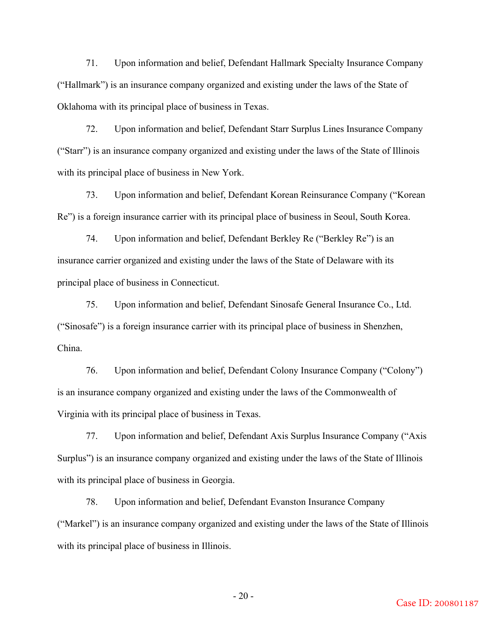71. Upon information and belief, Defendant Hallmark Specialty Insurance Company ("Hallmark") is an insurance company organized and existing under the laws of the State of Oklahoma with its principal place of business in Texas.

72. Upon information and belief, Defendant Starr Surplus Lines Insurance Company ("Starr") is an insurance company organized and existing under the laws of the State of Illinois with its principal place of business in New York.

73. Upon information and belief, Defendant Korean Reinsurance Company ("Korean Re") is a foreign insurance carrier with its principal place of business in Seoul, South Korea.

74. Upon information and belief, Defendant Berkley Re ("Berkley Re") is an insurance carrier organized and existing under the laws of the State of Delaware with its principal place of business in Connecticut.

75. Upon information and belief, Defendant Sinosafe General Insurance Co., Ltd. ("Sinosafe") is a foreign insurance carrier with its principal place of business in Shenzhen, China.

76. Upon information and belief, Defendant Colony Insurance Company ("Colony") is an insurance company organized and existing under the laws of the Commonwealth of Virginia with its principal place of business in Texas.

77. Upon information and belief, Defendant Axis Surplus Insurance Company ("Axis Surplus") is an insurance company organized and existing under the laws of the State of Illinois with its principal place of business in Georgia.

78. Upon information and belief, Defendant Evanston Insurance Company ("Markel") is an insurance company organized and existing under the laws of the State of Illinois with its principal place of business in Illinois.

 $-20-$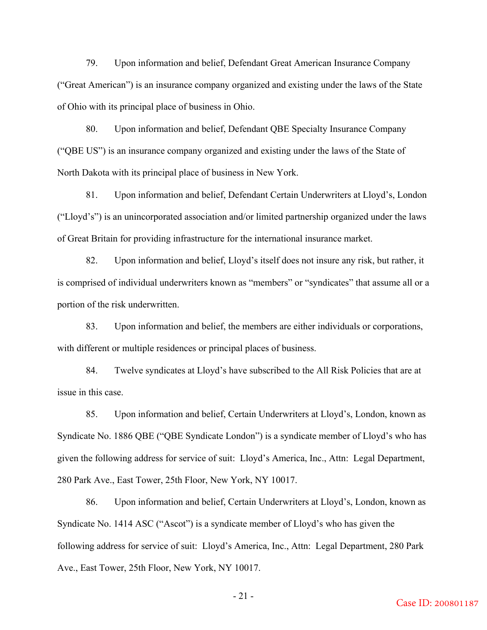79. Upon information and belief, Defendant Great American Insurance Company ("Great American") is an insurance company organized and existing under the laws of the State of Ohio with its principal place of business in Ohio.

80. Upon information and belief, Defendant QBE Specialty Insurance Company ("QBE US") is an insurance company organized and existing under the laws of the State of North Dakota with its principal place of business in New York.

81. Upon information and belief, Defendant Certain Underwriters at Lloyd's, London ("Lloyd's") is an unincorporated association and/or limited partnership organized under the laws of Great Britain for providing infrastructure for the international insurance market.

82. Upon information and belief, Lloyd's itself does not insure any risk, but rather, it is comprised of individual underwriters known as "members" or "syndicates" that assume all or a portion of the risk underwritten.

83. Upon information and belief, the members are either individuals or corporations, with different or multiple residences or principal places of business.

84. Twelve syndicates at Lloyd's have subscribed to the All Risk Policies that are at issue in this case.

85. Upon information and belief, Certain Underwriters at Lloyd's, London, known as Syndicate No. 1886 QBE ("QBE Syndicate London") is a syndicate member of Lloyd's who has given the following address for service of suit: Lloyd's America, Inc., Attn: Legal Department, 280 Park Ave., East Tower, 25th Floor, New York, NY 10017.

86. Upon information and belief, Certain Underwriters at Lloyd's, London, known as Syndicate No. 1414 ASC ("Ascot") is a syndicate member of Lloyd's who has given the following address for service of suit: Lloyd's America, Inc., Attn: Legal Department, 280 Park Ave., East Tower, 25th Floor, New York, NY 10017.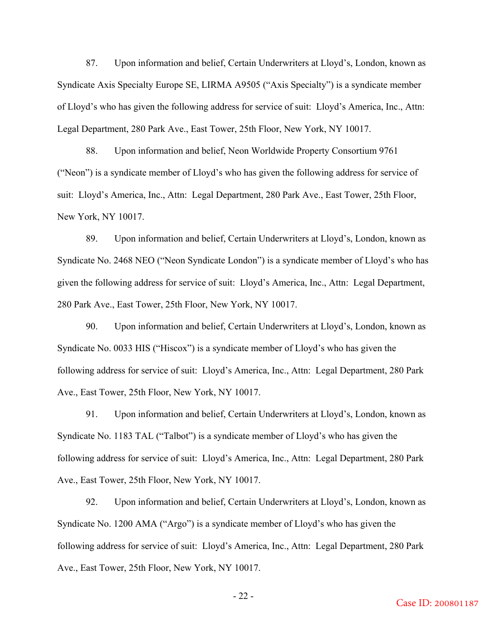87. Upon information and belief, Certain Underwriters at Lloyd's, London, known as Syndicate Axis Specialty Europe SE, LIRMA A9505 ("Axis Specialty") is a syndicate member of Lloyd's who has given the following address for service of suit: Lloyd's America, Inc., Attn: Legal Department, 280 Park Ave., East Tower, 25th Floor, New York, NY 10017.

88. Upon information and belief, Neon Worldwide Property Consortium 9761 ("Neon") is a syndicate member of Lloyd's who has given the following address for service of suit: Lloyd's America, Inc., Attn: Legal Department, 280 Park Ave., East Tower, 25th Floor, New York, NY 10017.

89. Upon information and belief, Certain Underwriters at Lloyd's, London, known as Syndicate No. 2468 NEO ("Neon Syndicate London") is a syndicate member of Lloyd's who has given the following address for service of suit: Lloyd's America, Inc., Attn: Legal Department, 280 Park Ave., East Tower, 25th Floor, New York, NY 10017.

90. Upon information and belief, Certain Underwriters at Lloyd's, London, known as Syndicate No. 0033 HIS ("Hiscox") is a syndicate member of Lloyd's who has given the following address for service of suit: Lloyd's America, Inc., Attn: Legal Department, 280 Park Ave., East Tower, 25th Floor, New York, NY 10017.

91. Upon information and belief, Certain Underwriters at Lloyd's, London, known as Syndicate No. 1183 TAL ("Talbot") is a syndicate member of Lloyd's who has given the following address for service of suit: Lloyd's America, Inc., Attn: Legal Department, 280 Park Ave., East Tower, 25th Floor, New York, NY 10017.

92. Upon information and belief, Certain Underwriters at Lloyd's, London, known as Syndicate No. 1200 AMA ("Argo") is a syndicate member of Lloyd's who has given the following address for service of suit: Lloyd's America, Inc., Attn: Legal Department, 280 Park Ave., East Tower, 25th Floor, New York, NY 10017.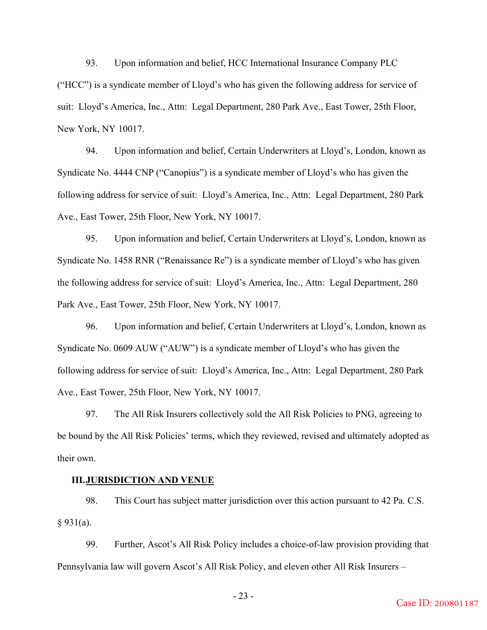93. Upon information and belief, HCC International Insurance Company PLC ("HCC") is a syndicate member of Lloyd's who has given the following address for service of suit: Lloyd's America, Inc., Attn: Legal Department, 280 Park Ave., East Tower, 25th Floor, New York, NY 10017.

94. Upon information and belief, Certain Underwriters at Lloyd's, London, known as Syndicate No. 4444 CNP ("Canopius") is a syndicate member of Lloyd's who has given the following address for service of suit: Lloyd's America, Inc., Attn: Legal Department, 280 Park Ave., East Tower, 25th Floor, New York, NY 10017.

95. Upon information and belief, Certain Underwriters at Lloyd's, London, known as Syndicate No. 1458 RNR ("Renaissance Re") is a syndicate member of Lloyd's who has given the following address for service of suit: Lloyd's America, Inc., Attn: Legal Department, 280 Park Ave., East Tower, 25th Floor, New York, NY 10017.

96. Upon information and belief, Certain Underwriters at Lloyd's, London, known as Syndicate No. 0609 AUW ("AUW") is a syndicate member of Lloyd's who has given the following address for service of suit: Lloyd's America, Inc., Attn: Legal Department, 280 Park Ave., East Tower, 25th Floor, New York, NY 10017.

97. The All Risk Insurers collectively sold the All Risk Policies to PNG, agreeing to be bound by the All Risk Policies' terms, which they reviewed, revised and ultimately adopted as their own.

#### **III.JURISDICTION AND VENUE**

98. This Court has subject matter jurisdiction over this action pursuant to 42 Pa. C.S.  $§ 931(a).$ 

99. Further, Ascot's All Risk Policy includes a choice-of-law provision providing that Pennsylvania law will govern Ascot's All Risk Policy, and eleven other All Risk Insurers –

- 23 -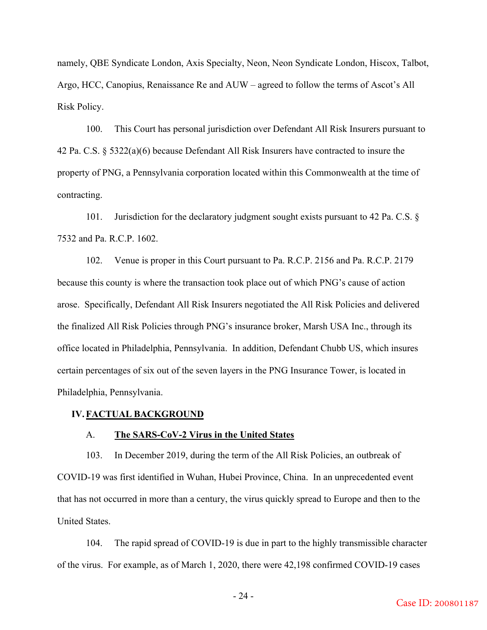namely, QBE Syndicate London, Axis Specialty, Neon, Neon Syndicate London, Hiscox, Talbot, Argo, HCC, Canopius, Renaissance Re and AUW – agreed to follow the terms of Ascot's All Risk Policy.

100. This Court has personal jurisdiction over Defendant All Risk Insurers pursuant to 42 Pa. C.S. § 5322(a)(6) because Defendant All Risk Insurers have contracted to insure the property of PNG, a Pennsylvania corporation located within this Commonwealth at the time of contracting.

101. Jurisdiction for the declaratory judgment sought exists pursuant to 42 Pa. C.S. § 7532 and Pa. R.C.P. 1602.

102. Venue is proper in this Court pursuant to Pa. R.C.P. 2156 and Pa. R.C.P. 2179 because this county is where the transaction took place out of which PNG's cause of action arose. Specifically, Defendant All Risk Insurers negotiated the All Risk Policies and delivered the finalized All Risk Policies through PNG's insurance broker, Marsh USA Inc., through its office located in Philadelphia, Pennsylvania. In addition, Defendant Chubb US, which insures certain percentages of six out of the seven layers in the PNG Insurance Tower, is located in Philadelphia, Pennsylvania.

### **IV.FACTUAL BACKGROUND**

### A. **The SARS-CoV-2 Virus in the United States**

103. In December 2019, during the term of the All Risk Policies, an outbreak of COVID-19 was first identified in Wuhan, Hubei Province, China. In an unprecedented event that has not occurred in more than a century, the virus quickly spread to Europe and then to the United States.

104. The rapid spread of COVID-19 is due in part to the highly transmissible character of the virus. For example, as of March 1, 2020, there were 42,198 confirmed COVID-19 cases

- 24 -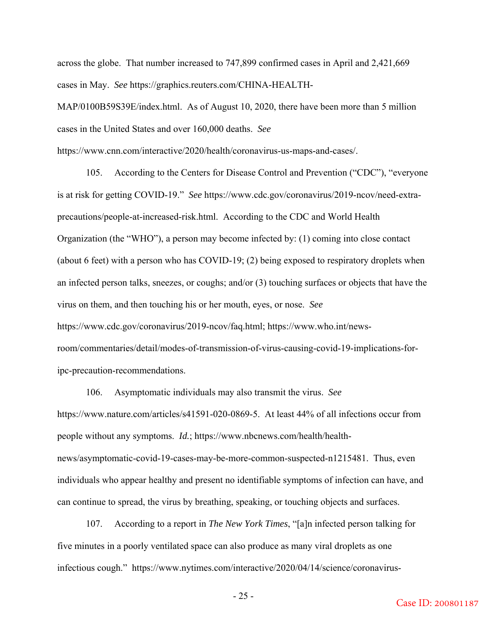across the globe. That number increased to 747,899 confirmed cases in April and 2,421,669 cases in May. *See* https://graphics.reuters.com/CHINA-HEALTH-

MAP/0100B59S39E/index.html. As of August 10, 2020, there have been more than 5 million cases in the United States and over 160,000 deaths. *See*

https://www.cnn.com/interactive/2020/health/coronavirus-us-maps-and-cases/.

105. According to the Centers for Disease Control and Prevention ("CDC"), "everyone is at risk for getting COVID-19." *See* https://www.cdc.gov/coronavirus/2019-ncov/need-extraprecautions/people-at-increased-risk.html. According to the CDC and World Health Organization (the "WHO"), a person may become infected by: (1) coming into close contact (about 6 feet) with a person who has COVID-19; (2) being exposed to respiratory droplets when an infected person talks, sneezes, or coughs; and/or (3) touching surfaces or objects that have the virus on them, and then touching his or her mouth, eyes, or nose. *See* https://www.cdc.gov/coronavirus/2019-ncov/faq.html; https://www.who.int/newsroom/commentaries/detail/modes-of-transmission-of-virus-causing-covid-19-implications-foripc-precaution-recommendations.

106. Asymptomatic individuals may also transmit the virus. *See* https://www.nature.com/articles/s41591-020-0869-5. At least 44% of all infections occur from people without any symptoms. *Id.*; https://www.nbcnews.com/health/healthnews/asymptomatic-covid-19-cases-may-be-more-common-suspected-n1215481. Thus, even individuals who appear healthy and present no identifiable symptoms of infection can have, and can continue to spread, the virus by breathing, speaking, or touching objects and surfaces.

107. According to a report in *The New York Times*, "[a]n infected person talking for five minutes in a poorly ventilated space can also produce as many viral droplets as one infectious cough." https://www.nytimes.com/interactive/2020/04/14/science/coronavirus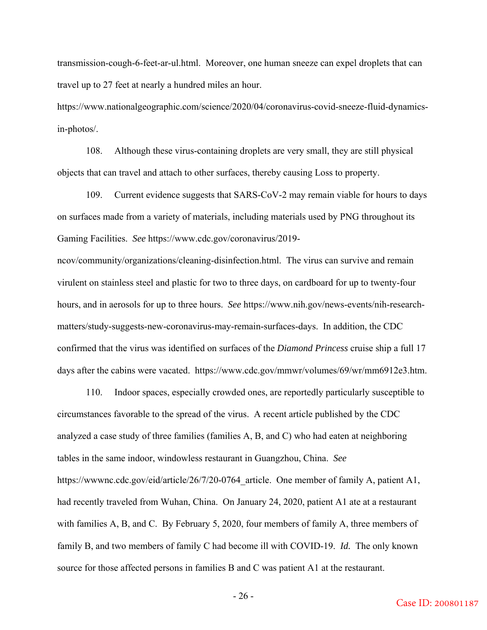transmission-cough-6-feet-ar-ul.html. Moreover, one human sneeze can expel droplets that can travel up to 27 feet at nearly a hundred miles an hour.

https://www.nationalgeographic.com/science/2020/04/coronavirus-covid-sneeze-fluid-dynamicsin-photos/.

108. Although these virus-containing droplets are very small, they are still physical objects that can travel and attach to other surfaces, thereby causing Loss to property.

109. Current evidence suggests that SARS-CoV-2 may remain viable for hours to days on surfaces made from a variety of materials, including materials used by PNG throughout its Gaming Facilities. *See* https://www.cdc.gov/coronavirus/2019-

ncov/community/organizations/cleaning-disinfection.html. The virus can survive and remain virulent on stainless steel and plastic for two to three days, on cardboard for up to twenty-four hours, and in aerosols for up to three hours. *See* https://www.nih.gov/news-events/nih-researchmatters/study-suggests-new-coronavirus-may-remain-surfaces-days. In addition, the CDC confirmed that the virus was identified on surfaces of the *Diamond Princess* cruise ship a full 17 days after the cabins were vacated. https://www.cdc.gov/mmwr/volumes/69/wr/mm6912e3.htm.

110. Indoor spaces, especially crowded ones, are reportedly particularly susceptible to circumstances favorable to the spread of the virus. A recent article published by the CDC analyzed a case study of three families (families A, B, and C) who had eaten at neighboring tables in the same indoor, windowless restaurant in Guangzhou, China. *See* https://wwwnc.cdc.gov/eid/article/26/7/20-0764 article. One member of family A, patient A1, had recently traveled from Wuhan, China. On January 24, 2020, patient A1 ate at a restaurant with families A, B, and C. By February 5, 2020, four members of family A, three members of family B, and two members of family C had become ill with COVID-19. *Id.* The only known source for those affected persons in families B and C was patient A1 at the restaurant.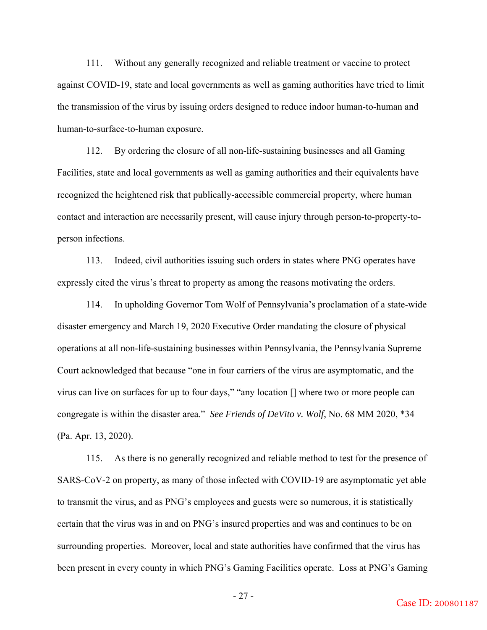111. Without any generally recognized and reliable treatment or vaccine to protect against COVID-19, state and local governments as well as gaming authorities have tried to limit the transmission of the virus by issuing orders designed to reduce indoor human-to-human and human-to-surface-to-human exposure.

112. By ordering the closure of all non-life-sustaining businesses and all Gaming Facilities, state and local governments as well as gaming authorities and their equivalents have recognized the heightened risk that publically-accessible commercial property, where human contact and interaction are necessarily present, will cause injury through person-to-property-toperson infections.

113. Indeed, civil authorities issuing such orders in states where PNG operates have expressly cited the virus's threat to property as among the reasons motivating the orders.

114. In upholding Governor Tom Wolf of Pennsylvania's proclamation of a state-wide disaster emergency and March 19, 2020 Executive Order mandating the closure of physical operations at all non-life-sustaining businesses within Pennsylvania, the Pennsylvania Supreme Court acknowledged that because "one in four carriers of the virus are asymptomatic, and the virus can live on surfaces for up to four days," "any location [] where two or more people can congregate is within the disaster area." *See Friends of DeVito v. Wolf*, No. 68 MM 2020, \*34 (Pa. Apr. 13, 2020).

115. As there is no generally recognized and reliable method to test for the presence of SARS-CoV-2 on property, as many of those infected with COVID-19 are asymptomatic yet able to transmit the virus, and as PNG's employees and guests were so numerous, it is statistically certain that the virus was in and on PNG's insured properties and was and continues to be on surrounding properties. Moreover, local and state authorities have confirmed that the virus has been present in every county in which PNG's Gaming Facilities operate. Loss at PNG's Gaming

- 27 -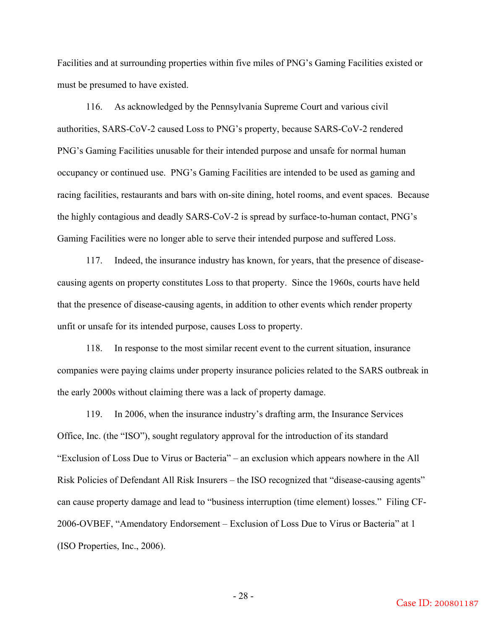Facilities and at surrounding properties within five miles of PNG's Gaming Facilities existed or must be presumed to have existed.

116. As acknowledged by the Pennsylvania Supreme Court and various civil authorities, SARS-CoV-2 caused Loss to PNG's property, because SARS-CoV-2 rendered PNG's Gaming Facilities unusable for their intended purpose and unsafe for normal human occupancy or continued use. PNG's Gaming Facilities are intended to be used as gaming and racing facilities, restaurants and bars with on-site dining, hotel rooms, and event spaces. Because the highly contagious and deadly SARS-CoV-2 is spread by surface-to-human contact, PNG's Gaming Facilities were no longer able to serve their intended purpose and suffered Loss.

117. Indeed, the insurance industry has known, for years, that the presence of diseasecausing agents on property constitutes Loss to that property. Since the 1960s, courts have held that the presence of disease-causing agents, in addition to other events which render property unfit or unsafe for its intended purpose, causes Loss to property.

118. In response to the most similar recent event to the current situation, insurance companies were paying claims under property insurance policies related to the SARS outbreak in the early 2000s without claiming there was a lack of property damage.

119. In 2006, when the insurance industry's drafting arm, the Insurance Services Office, Inc. (the "ISO"), sought regulatory approval for the introduction of its standard "Exclusion of Loss Due to Virus or Bacteria" – an exclusion which appears nowhere in the All Risk Policies of Defendant All Risk Insurers – the ISO recognized that "disease-causing agents" can cause property damage and lead to "business interruption (time element) losses." Filing CF-2006-OVBEF, "Amendatory Endorsement – Exclusion of Loss Due to Virus or Bacteria" at 1 (ISO Properties, Inc., 2006).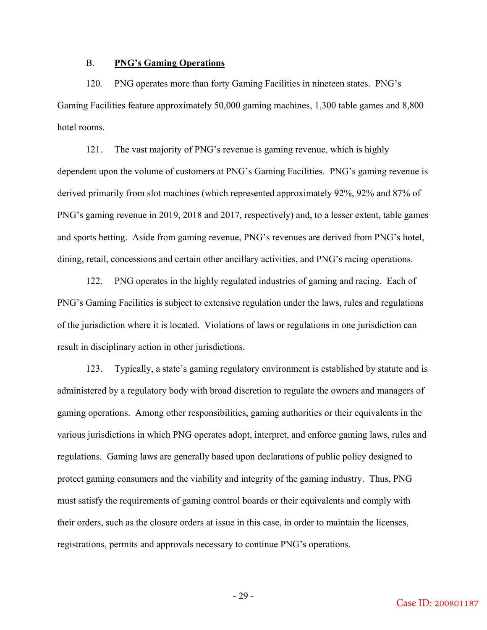## B. **PNG's Gaming Operations**

120. PNG operates more than forty Gaming Facilities in nineteen states. PNG's Gaming Facilities feature approximately 50,000 gaming machines, 1,300 table games and 8,800 hotel rooms.

121. The vast majority of PNG's revenue is gaming revenue, which is highly dependent upon the volume of customers at PNG's Gaming Facilities. PNG's gaming revenue is derived primarily from slot machines (which represented approximately 92%, 92% and 87% of PNG's gaming revenue in 2019, 2018 and 2017, respectively) and, to a lesser extent, table games and sports betting. Aside from gaming revenue, PNG's revenues are derived from PNG's hotel, dining, retail, concessions and certain other ancillary activities, and PNG's racing operations.

122. PNG operates in the highly regulated industries of gaming and racing. Each of PNG's Gaming Facilities is subject to extensive regulation under the laws, rules and regulations of the jurisdiction where it is located. Violations of laws or regulations in one jurisdiction can result in disciplinary action in other jurisdictions.

123. Typically, a state's gaming regulatory environment is established by statute and is administered by a regulatory body with broad discretion to regulate the owners and managers of gaming operations. Among other responsibilities, gaming authorities or their equivalents in the various jurisdictions in which PNG operates adopt, interpret, and enforce gaming laws, rules and regulations. Gaming laws are generally based upon declarations of public policy designed to protect gaming consumers and the viability and integrity of the gaming industry. Thus, PNG must satisfy the requirements of gaming control boards or their equivalents and comply with their orders, such as the closure orders at issue in this case, in order to maintain the licenses, registrations, permits and approvals necessary to continue PNG's operations.

- 29 -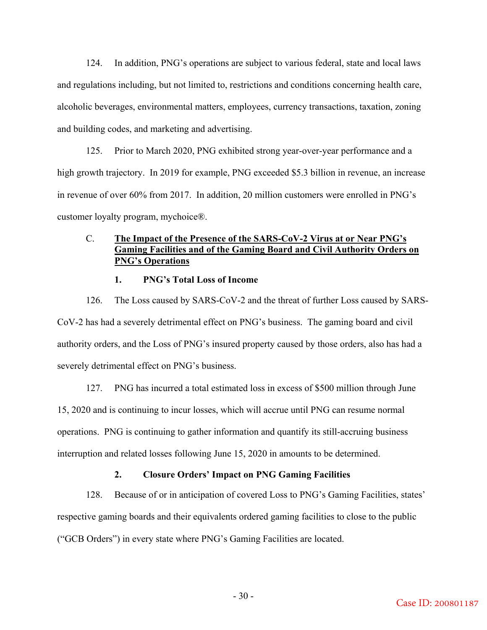124. In addition, PNG's operations are subject to various federal, state and local laws and regulations including, but not limited to, restrictions and conditions concerning health care, alcoholic beverages, environmental matters, employees, currency transactions, taxation, zoning and building codes, and marketing and advertising.

125. Prior to March 2020, PNG exhibited strong year-over-year performance and a high growth trajectory. In 2019 for example, PNG exceeded \$5.3 billion in revenue, an increase in revenue of over 60% from 2017. In addition, 20 million customers were enrolled in PNG's customer loyalty program, mychoice®.

# C. **The Impact of the Presence of the SARS-CoV-2 Virus at or Near PNG's Gaming Facilities and of the Gaming Board and Civil Authority Orders on PNG's Operations**

## **1. PNG's Total Loss of Income**

126. The Loss caused by SARS-CoV-2 and the threat of further Loss caused by SARS-CoV-2 has had a severely detrimental effect on PNG's business. The gaming board and civil authority orders, and the Loss of PNG's insured property caused by those orders, also has had a severely detrimental effect on PNG's business.

127. PNG has incurred a total estimated loss in excess of \$500 million through June 15, 2020 and is continuing to incur losses, which will accrue until PNG can resume normal operations. PNG is continuing to gather information and quantify its still-accruing business interruption and related losses following June 15, 2020 in amounts to be determined.

## **2. Closure Orders' Impact on PNG Gaming Facilities**

128. Because of or in anticipation of covered Loss to PNG's Gaming Facilities, states' respective gaming boards and their equivalents ordered gaming facilities to close to the public ("GCB Orders") in every state where PNG's Gaming Facilities are located.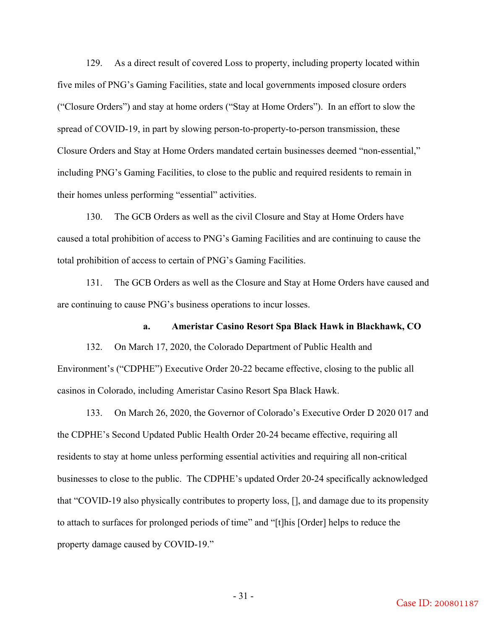129. As a direct result of covered Loss to property, including property located within five miles of PNG's Gaming Facilities, state and local governments imposed closure orders ("Closure Orders") and stay at home orders ("Stay at Home Orders"). In an effort to slow the spread of COVID-19, in part by slowing person-to-property-to-person transmission, these Closure Orders and Stay at Home Orders mandated certain businesses deemed "non-essential," including PNG's Gaming Facilities, to close to the public and required residents to remain in their homes unless performing "essential" activities.

130. The GCB Orders as well as the civil Closure and Stay at Home Orders have caused a total prohibition of access to PNG's Gaming Facilities and are continuing to cause the total prohibition of access to certain of PNG's Gaming Facilities.

131. The GCB Orders as well as the Closure and Stay at Home Orders have caused and are continuing to cause PNG's business operations to incur losses.

## **a. Ameristar Casino Resort Spa Black Hawk in Blackhawk, CO**

132. On March 17, 2020, the Colorado Department of Public Health and Environment's ("CDPHE") Executive Order 20-22 became effective, closing to the public all casinos in Colorado, including Ameristar Casino Resort Spa Black Hawk.

133. On March 26, 2020, the Governor of Colorado's Executive Order D 2020 017 and the CDPHE's Second Updated Public Health Order 20-24 became effective, requiring all residents to stay at home unless performing essential activities and requiring all non-critical businesses to close to the public. The CDPHE's updated Order 20-24 specifically acknowledged that "COVID-19 also physically contributes to property loss, [], and damage due to its propensity to attach to surfaces for prolonged periods of time" and "[t]his [Order] helps to reduce the property damage caused by COVID-19."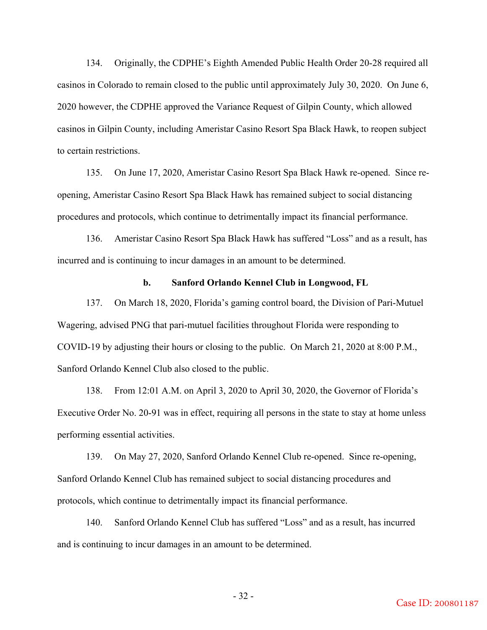134. Originally, the CDPHE's Eighth Amended Public Health Order 20-28 required all casinos in Colorado to remain closed to the public until approximately July 30, 2020. On June 6, 2020 however, the CDPHE approved the Variance Request of Gilpin County, which allowed casinos in Gilpin County, including Ameristar Casino Resort Spa Black Hawk, to reopen subject to certain restrictions.

135. On June 17, 2020, Ameristar Casino Resort Spa Black Hawk re-opened. Since reopening, Ameristar Casino Resort Spa Black Hawk has remained subject to social distancing procedures and protocols, which continue to detrimentally impact its financial performance.

136. Ameristar Casino Resort Spa Black Hawk has suffered "Loss" and as a result, has incurred and is continuing to incur damages in an amount to be determined.

## **b. Sanford Orlando Kennel Club in Longwood, FL**

137. On March 18, 2020, Florida's gaming control board, the Division of Pari-Mutuel Wagering, advised PNG that pari-mutuel facilities throughout Florida were responding to COVID-19 by adjusting their hours or closing to the public. On March 21, 2020 at 8:00 P.M., Sanford Orlando Kennel Club also closed to the public.

138. From 12:01 A.M. on April 3, 2020 to April 30, 2020, the Governor of Florida's Executive Order No. 20-91 was in effect, requiring all persons in the state to stay at home unless performing essential activities.

139. On May 27, 2020, Sanford Orlando Kennel Club re-opened. Since re-opening, Sanford Orlando Kennel Club has remained subject to social distancing procedures and protocols, which continue to detrimentally impact its financial performance.

140. Sanford Orlando Kennel Club has suffered "Loss" and as a result, has incurred and is continuing to incur damages in an amount to be determined.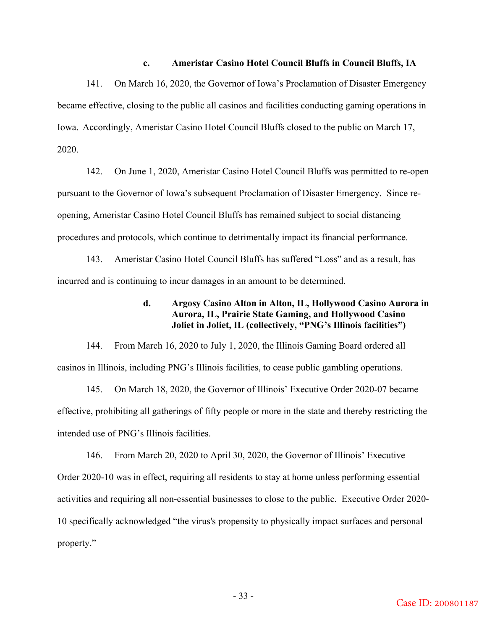## **c. Ameristar Casino Hotel Council Bluffs in Council Bluffs, IA**

141. On March 16, 2020, the Governor of Iowa's Proclamation of Disaster Emergency became effective, closing to the public all casinos and facilities conducting gaming operations in Iowa. Accordingly, Ameristar Casino Hotel Council Bluffs closed to the public on March 17, 2020.

142. On June 1, 2020, Ameristar Casino Hotel Council Bluffs was permitted to re-open pursuant to the Governor of Iowa's subsequent Proclamation of Disaster Emergency. Since reopening, Ameristar Casino Hotel Council Bluffs has remained subject to social distancing procedures and protocols, which continue to detrimentally impact its financial performance.

143. Ameristar Casino Hotel Council Bluffs has suffered "Loss" and as a result, has incurred and is continuing to incur damages in an amount to be determined.

## **d. Argosy Casino Alton in Alton, IL, Hollywood Casino Aurora in Aurora, IL, Prairie State Gaming, and Hollywood Casino Joliet in Joliet, IL (collectively, "PNG's Illinois facilities")**

144. From March 16, 2020 to July 1, 2020, the Illinois Gaming Board ordered all casinos in Illinois, including PNG's Illinois facilities, to cease public gambling operations.

145. On March 18, 2020, the Governor of Illinois' Executive Order 2020-07 became effective, prohibiting all gatherings of fifty people or more in the state and thereby restricting the intended use of PNG's Illinois facilities.

146. From March 20, 2020 to April 30, 2020, the Governor of Illinois' Executive Order 2020-10 was in effect, requiring all residents to stay at home unless performing essential activities and requiring all non-essential businesses to close to the public. Executive Order 2020- 10 specifically acknowledged "the virus's propensity to physically impact surfaces and personal property."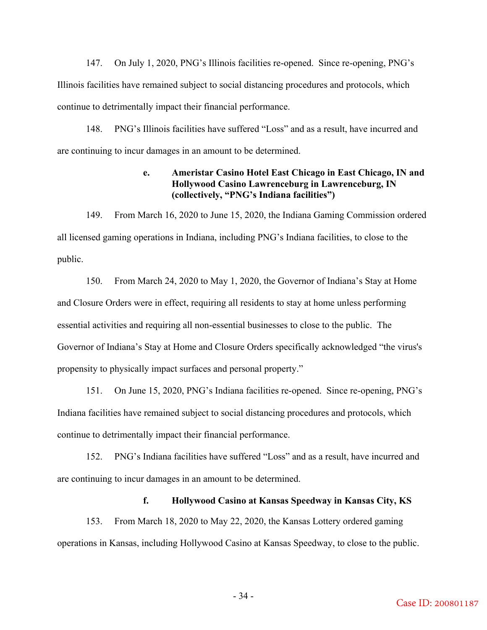147. On July 1, 2020, PNG's Illinois facilities re-opened. Since re-opening, PNG's Illinois facilities have remained subject to social distancing procedures and protocols, which continue to detrimentally impact their financial performance.

148. PNG's Illinois facilities have suffered "Loss" and as a result, have incurred and are continuing to incur damages in an amount to be determined.

# **e. Ameristar Casino Hotel East Chicago in East Chicago, IN and Hollywood Casino Lawrenceburg in Lawrenceburg, IN (collectively, "PNG's Indiana facilities")**

149. From March 16, 2020 to June 15, 2020, the Indiana Gaming Commission ordered all licensed gaming operations in Indiana, including PNG's Indiana facilities, to close to the public.

150. From March 24, 2020 to May 1, 2020, the Governor of Indiana's Stay at Home and Closure Orders were in effect, requiring all residents to stay at home unless performing essential activities and requiring all non-essential businesses to close to the public. The Governor of Indiana's Stay at Home and Closure Orders specifically acknowledged "the virus's propensity to physically impact surfaces and personal property."

151. On June 15, 2020, PNG's Indiana facilities re-opened. Since re-opening, PNG's Indiana facilities have remained subject to social distancing procedures and protocols, which continue to detrimentally impact their financial performance.

152. PNG's Indiana facilities have suffered "Loss" and as a result, have incurred and are continuing to incur damages in an amount to be determined.

## **f. Hollywood Casino at Kansas Speedway in Kansas City, KS**

153. From March 18, 2020 to May 22, 2020, the Kansas Lottery ordered gaming operations in Kansas, including Hollywood Casino at Kansas Speedway, to close to the public.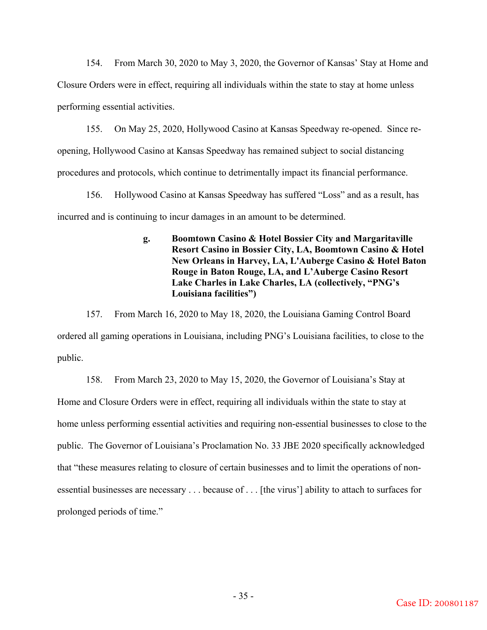154. From March 30, 2020 to May 3, 2020, the Governor of Kansas' Stay at Home and Closure Orders were in effect, requiring all individuals within the state to stay at home unless performing essential activities.

155. On May 25, 2020, Hollywood Casino at Kansas Speedway re-opened. Since reopening, Hollywood Casino at Kansas Speedway has remained subject to social distancing procedures and protocols, which continue to detrimentally impact its financial performance.

156. Hollywood Casino at Kansas Speedway has suffered "Loss" and as a result, has incurred and is continuing to incur damages in an amount to be determined.

# **g. Boomtown Casino & Hotel Bossier City and Margaritaville Resort Casino in Bossier City, LA, Boomtown Casino & Hotel New Orleans in Harvey, LA, L'Auberge Casino & Hotel Baton Rouge in Baton Rouge, LA, and L'Auberge Casino Resort Lake Charles in Lake Charles, LA (collectively, "PNG's Louisiana facilities")**

157. From March 16, 2020 to May 18, 2020, the Louisiana Gaming Control Board ordered all gaming operations in Louisiana, including PNG's Louisiana facilities, to close to the public.

158. From March 23, 2020 to May 15, 2020, the Governor of Louisiana's Stay at Home and Closure Orders were in effect, requiring all individuals within the state to stay at home unless performing essential activities and requiring non-essential businesses to close to the public. The Governor of Louisiana's Proclamation No. 33 JBE 2020 specifically acknowledged that "these measures relating to closure of certain businesses and to limit the operations of nonessential businesses are necessary . . . because of . . . [the virus'] ability to attach to surfaces for prolonged periods of time."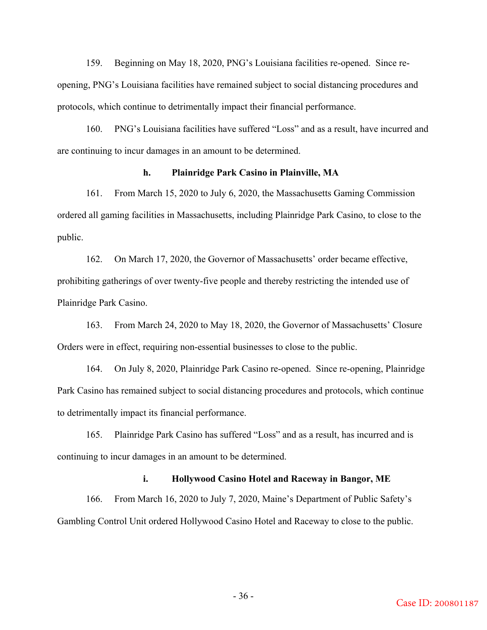159. Beginning on May 18, 2020, PNG's Louisiana facilities re-opened. Since reopening, PNG's Louisiana facilities have remained subject to social distancing procedures and protocols, which continue to detrimentally impact their financial performance.

160. PNG's Louisiana facilities have suffered "Loss" and as a result, have incurred and are continuing to incur damages in an amount to be determined.

## **h. Plainridge Park Casino in Plainville, MA**

161. From March 15, 2020 to July 6, 2020, the Massachusetts Gaming Commission ordered all gaming facilities in Massachusetts, including Plainridge Park Casino, to close to the public.

162. On March 17, 2020, the Governor of Massachusetts' order became effective, prohibiting gatherings of over twenty-five people and thereby restricting the intended use of Plainridge Park Casino.

163. From March 24, 2020 to May 18, 2020, the Governor of Massachusetts' Closure Orders were in effect, requiring non-essential businesses to close to the public.

164. On July 8, 2020, Plainridge Park Casino re-opened. Since re-opening, Plainridge Park Casino has remained subject to social distancing procedures and protocols, which continue to detrimentally impact its financial performance.

165. Plainridge Park Casino has suffered "Loss" and as a result, has incurred and is continuing to incur damages in an amount to be determined.

## **i. Hollywood Casino Hotel and Raceway in Bangor, ME**

166. From March 16, 2020 to July 7, 2020, Maine's Department of Public Safety's Gambling Control Unit ordered Hollywood Casino Hotel and Raceway to close to the public.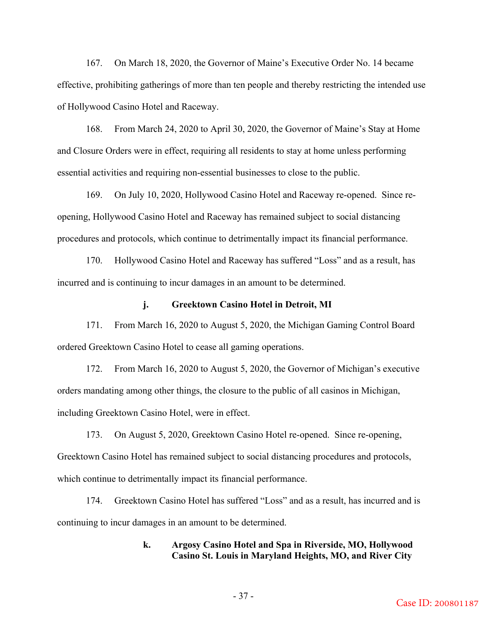167. On March 18, 2020, the Governor of Maine's Executive Order No. 14 became effective, prohibiting gatherings of more than ten people and thereby restricting the intended use of Hollywood Casino Hotel and Raceway.

168. From March 24, 2020 to April 30, 2020, the Governor of Maine's Stay at Home and Closure Orders were in effect, requiring all residents to stay at home unless performing essential activities and requiring non-essential businesses to close to the public.

169. On July 10, 2020, Hollywood Casino Hotel and Raceway re-opened. Since reopening, Hollywood Casino Hotel and Raceway has remained subject to social distancing procedures and protocols, which continue to detrimentally impact its financial performance.

170. Hollywood Casino Hotel and Raceway has suffered "Loss" and as a result, has incurred and is continuing to incur damages in an amount to be determined.

## **j. Greektown Casino Hotel in Detroit, MI**

171. From March 16, 2020 to August 5, 2020, the Michigan Gaming Control Board ordered Greektown Casino Hotel to cease all gaming operations.

172. From March 16, 2020 to August 5, 2020, the Governor of Michigan's executive orders mandating among other things, the closure to the public of all casinos in Michigan, including Greektown Casino Hotel, were in effect.

173. On August 5, 2020, Greektown Casino Hotel re-opened. Since re-opening, Greektown Casino Hotel has remained subject to social distancing procedures and protocols, which continue to detrimentally impact its financial performance.

174. Greektown Casino Hotel has suffered "Loss" and as a result, has incurred and is continuing to incur damages in an amount to be determined.

## **k. Argosy Casino Hotel and Spa in Riverside, MO, Hollywood Casino St. Louis in Maryland Heights, MO, and River City**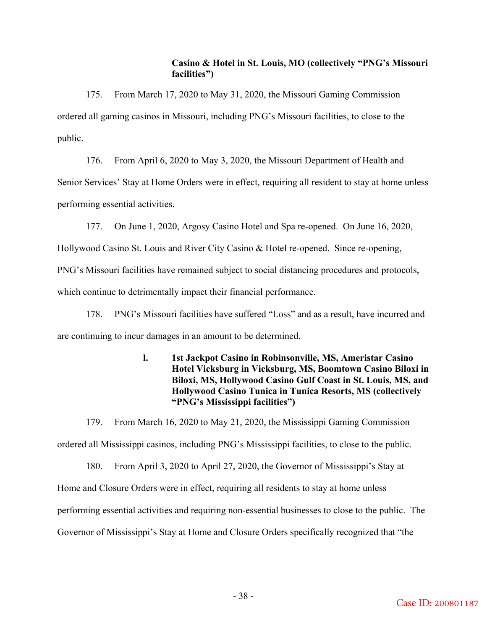# **Casino & Hotel in St. Louis, MO (collectively "PNG's Missouri facilities")**

175. From March 17, 2020 to May 31, 2020, the Missouri Gaming Commission ordered all gaming casinos in Missouri, including PNG's Missouri facilities, to close to the public.

176. From April 6, 2020 to May 3, 2020, the Missouri Department of Health and Senior Services' Stay at Home Orders were in effect, requiring all resident to stay at home unless performing essential activities.

177. On June 1, 2020, Argosy Casino Hotel and Spa re-opened. On June 16, 2020, Hollywood Casino St. Louis and River City Casino & Hotel re-opened. Since re-opening, PNG's Missouri facilities have remained subject to social distancing procedures and protocols, which continue to detrimentally impact their financial performance.

178. PNG's Missouri facilities have suffered "Loss" and as a result, have incurred and are continuing to incur damages in an amount to be determined.

# **l. 1st Jackpot Casino in Robinsonville, MS, Ameristar Casino Hotel Vicksburg in Vicksburg, MS, Boomtown Casino Biloxi in Biloxi, MS, Hollywood Casino Gulf Coast in St. Louis, MS, and Hollywood Casino Tunica in Tunica Resorts, MS (collectively "PNG's Mississippi facilities")**

179. From March 16, 2020 to May 21, 2020, the Mississippi Gaming Commission ordered all Mississippi casinos, including PNG's Mississippi facilities, to close to the public.

180. From April 3, 2020 to April 27, 2020, the Governor of Mississippi's Stay at Home and Closure Orders were in effect, requiring all residents to stay at home unless performing essential activities and requiring non-essential businesses to close to the public. The Governor of Mississippi's Stay at Home and Closure Orders specifically recognized that "the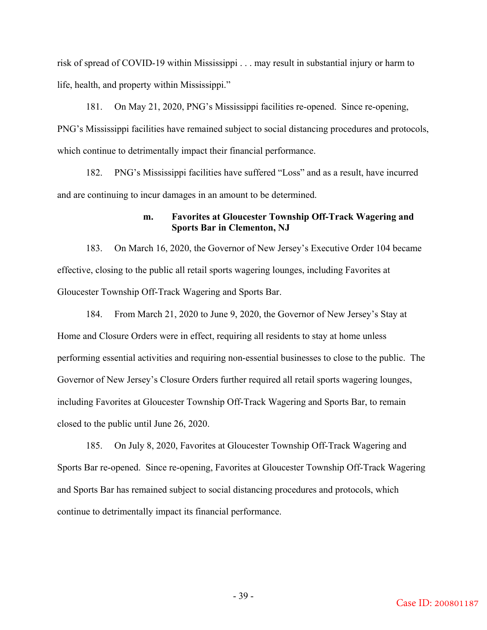risk of spread of COVID-19 within Mississippi . . . may result in substantial injury or harm to life, health, and property within Mississippi."

181. On May 21, 2020, PNG's Mississippi facilities re-opened. Since re-opening, PNG's Mississippi facilities have remained subject to social distancing procedures and protocols, which continue to detrimentally impact their financial performance.

182. PNG's Mississippi facilities have suffered "Loss" and as a result, have incurred and are continuing to incur damages in an amount to be determined.

## **m. Favorites at Gloucester Township Off-Track Wagering and Sports Bar in Clementon, NJ**

183. On March 16, 2020, the Governor of New Jersey's Executive Order 104 became effective, closing to the public all retail sports wagering lounges, including Favorites at Gloucester Township Off-Track Wagering and Sports Bar.

184. From March 21, 2020 to June 9, 2020, the Governor of New Jersey's Stay at Home and Closure Orders were in effect, requiring all residents to stay at home unless performing essential activities and requiring non-essential businesses to close to the public. The Governor of New Jersey's Closure Orders further required all retail sports wagering lounges, including Favorites at Gloucester Township Off-Track Wagering and Sports Bar, to remain closed to the public until June 26, 2020.

185. On July 8, 2020, Favorites at Gloucester Township Off-Track Wagering and Sports Bar re-opened. Since re-opening, Favorites at Gloucester Township Off-Track Wagering and Sports Bar has remained subject to social distancing procedures and protocols, which continue to detrimentally impact its financial performance.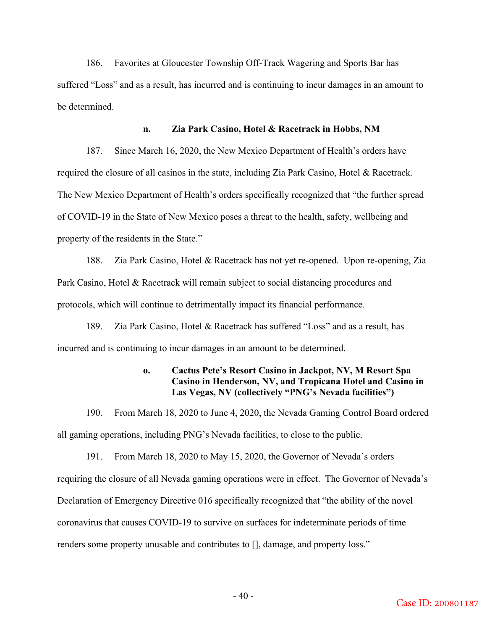186. Favorites at Gloucester Township Off-Track Wagering and Sports Bar has suffered "Loss" and as a result, has incurred and is continuing to incur damages in an amount to be determined.

## **n. Zia Park Casino, Hotel & Racetrack in Hobbs, NM**

187. Since March 16, 2020, the New Mexico Department of Health's orders have required the closure of all casinos in the state, including Zia Park Casino, Hotel & Racetrack. The New Mexico Department of Health's orders specifically recognized that "the further spread of COVID-19 in the State of New Mexico poses a threat to the health, safety, wellbeing and property of the residents in the State."

188. Zia Park Casino, Hotel & Racetrack has not yet re-opened. Upon re-opening, Zia Park Casino, Hotel & Racetrack will remain subject to social distancing procedures and protocols, which will continue to detrimentally impact its financial performance.

189. Zia Park Casino, Hotel & Racetrack has suffered "Loss" and as a result, has incurred and is continuing to incur damages in an amount to be determined.

# **o. Cactus Pete's Resort Casino in Jackpot, NV, M Resort Spa Casino in Henderson, NV, and Tropicana Hotel and Casino in Las Vegas, NV (collectively "PNG's Nevada facilities")**

190. From March 18, 2020 to June 4, 2020, the Nevada Gaming Control Board ordered all gaming operations, including PNG's Nevada facilities, to close to the public.

191. From March 18, 2020 to May 15, 2020, the Governor of Nevada's orders requiring the closure of all Nevada gaming operations were in effect. The Governor of Nevada's Declaration of Emergency Directive 016 specifically recognized that "the ability of the novel coronavirus that causes COVID-19 to survive on surfaces for indeterminate periods of time renders some property unusable and contributes to [], damage, and property loss."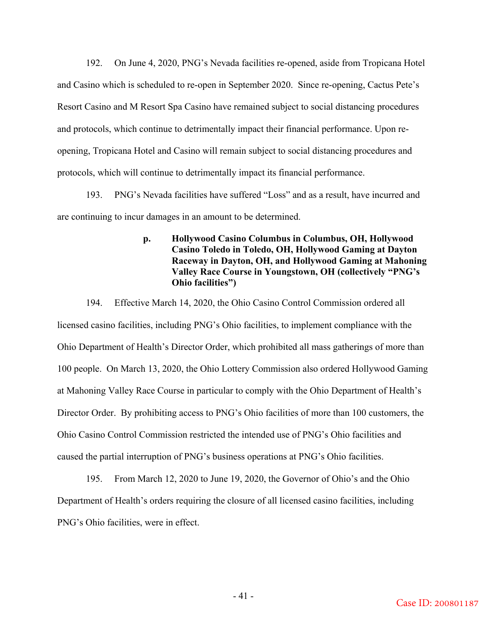192. On June 4, 2020, PNG's Nevada facilities re-opened, aside from Tropicana Hotel and Casino which is scheduled to re-open in September 2020. Since re-opening, Cactus Pete's Resort Casino and M Resort Spa Casino have remained subject to social distancing procedures and protocols, which continue to detrimentally impact their financial performance. Upon reopening, Tropicana Hotel and Casino will remain subject to social distancing procedures and protocols, which will continue to detrimentally impact its financial performance.

193. PNG's Nevada facilities have suffered "Loss" and as a result, have incurred and are continuing to incur damages in an amount to be determined.

# **p. Hollywood Casino Columbus in Columbus, OH, Hollywood Casino Toledo in Toledo, OH, Hollywood Gaming at Dayton Raceway in Dayton, OH, and Hollywood Gaming at Mahoning Valley Race Course in Youngstown, OH (collectively "PNG's Ohio facilities")**

194. Effective March 14, 2020, the Ohio Casino Control Commission ordered all licensed casino facilities, including PNG's Ohio facilities, to implement compliance with the Ohio Department of Health's Director Order, which prohibited all mass gatherings of more than 100 people. On March 13, 2020, the Ohio Lottery Commission also ordered Hollywood Gaming at Mahoning Valley Race Course in particular to comply with the Ohio Department of Health's Director Order. By prohibiting access to PNG's Ohio facilities of more than 100 customers, the Ohio Casino Control Commission restricted the intended use of PNG's Ohio facilities and caused the partial interruption of PNG's business operations at PNG's Ohio facilities.

195. From March 12, 2020 to June 19, 2020, the Governor of Ohio's and the Ohio Department of Health's orders requiring the closure of all licensed casino facilities, including PNG's Ohio facilities, were in effect.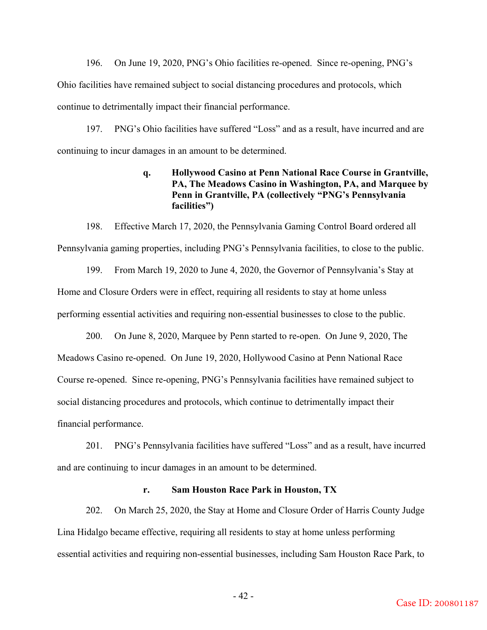196. On June 19, 2020, PNG's Ohio facilities re-opened. Since re-opening, PNG's Ohio facilities have remained subject to social distancing procedures and protocols, which continue to detrimentally impact their financial performance.

197. PNG's Ohio facilities have suffered "Loss" and as a result, have incurred and are continuing to incur damages in an amount to be determined.

# **q. Hollywood Casino at Penn National Race Course in Grantville, PA, The Meadows Casino in Washington, PA, and Marquee by Penn in Grantville, PA (collectively "PNG's Pennsylvania facilities")**

198. Effective March 17, 2020, the Pennsylvania Gaming Control Board ordered all Pennsylvania gaming properties, including PNG's Pennsylvania facilities, to close to the public.

199. From March 19, 2020 to June 4, 2020, the Governor of Pennsylvania's Stay at Home and Closure Orders were in effect, requiring all residents to stay at home unless performing essential activities and requiring non-essential businesses to close to the public.

200. On June 8, 2020, Marquee by Penn started to re-open. On June 9, 2020, The Meadows Casino re-opened. On June 19, 2020, Hollywood Casino at Penn National Race Course re-opened. Since re-opening, PNG's Pennsylvania facilities have remained subject to social distancing procedures and protocols, which continue to detrimentally impact their financial performance.

201. PNG's Pennsylvania facilities have suffered "Loss" and as a result, have incurred and are continuing to incur damages in an amount to be determined.

## **r. Sam Houston Race Park in Houston, TX**

202. On March 25, 2020, the Stay at Home and Closure Order of Harris County Judge Lina Hidalgo became effective, requiring all residents to stay at home unless performing essential activities and requiring non-essential businesses, including Sam Houston Race Park, to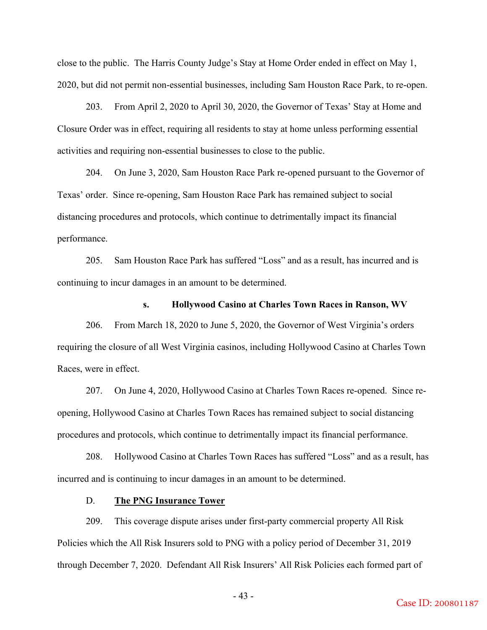close to the public. The Harris County Judge's Stay at Home Order ended in effect on May 1, 2020, but did not permit non-essential businesses, including Sam Houston Race Park, to re-open.

203. From April 2, 2020 to April 30, 2020, the Governor of Texas' Stay at Home and Closure Order was in effect, requiring all residents to stay at home unless performing essential activities and requiring non-essential businesses to close to the public.

204. On June 3, 2020, Sam Houston Race Park re-opened pursuant to the Governor of Texas' order.Since re-opening, Sam Houston Race Park has remained subject to social distancing procedures and protocols, which continue to detrimentally impact its financial performance.

205. Sam Houston Race Park has suffered "Loss" and as a result, has incurred and is continuing to incur damages in an amount to be determined.

## **s. Hollywood Casino at Charles Town Races in Ranson, WV**

206. From March 18, 2020 to June 5, 2020, the Governor of West Virginia's orders requiring the closure of all West Virginia casinos, including Hollywood Casino at Charles Town Races, were in effect.

207. On June 4, 2020, Hollywood Casino at Charles Town Races re-opened. Since reopening, Hollywood Casino at Charles Town Races has remained subject to social distancing procedures and protocols, which continue to detrimentally impact its financial performance.

208. Hollywood Casino at Charles Town Races has suffered "Loss" and as a result, has incurred and is continuing to incur damages in an amount to be determined.

## D. **The PNG Insurance Tower**

209. This coverage dispute arises under first-party commercial property All Risk Policies which the All Risk Insurers sold to PNG with a policy period of December 31, 2019 through December 7, 2020. Defendant All Risk Insurers' All Risk Policies each formed part of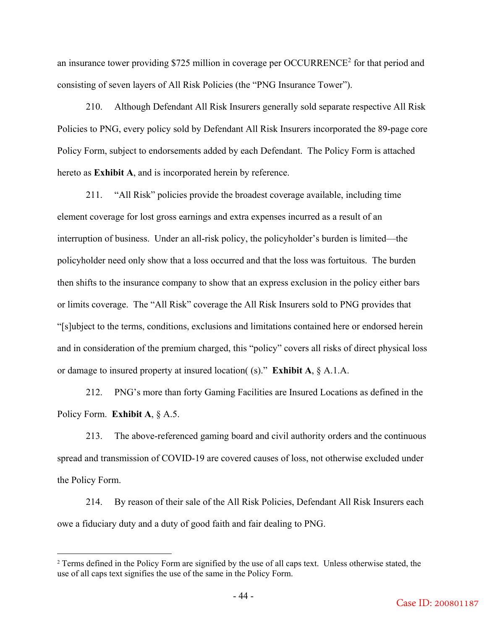an insurance tower providing \$725 million in coverage per OCCURRENCE<sup>2</sup> for that period and consisting of seven layers of All Risk Policies (the "PNG Insurance Tower").

210. Although Defendant All Risk Insurers generally sold separate respective All Risk Policies to PNG, every policy sold by Defendant All Risk Insurers incorporated the 89-page core Policy Form, subject to endorsements added by each Defendant. The Policy Form is attached hereto as **Exhibit A**, and is incorporated herein by reference.

211. "All Risk" policies provide the broadest coverage available, including time element coverage for lost gross earnings and extra expenses incurred as a result of an interruption of business. Under an all-risk policy, the policyholder's burden is limited—the policyholder need only show that a loss occurred and that the loss was fortuitous. The burden then shifts to the insurance company to show that an express exclusion in the policy either bars or limits coverage. The "All Risk" coverage the All Risk Insurers sold to PNG provides that "[s]ubject to the terms, conditions, exclusions and limitations contained here or endorsed herein and in consideration of the premium charged, this "policy" covers all risks of direct physical loss or damage to insured property at insured location( (s)." **Exhibit A**, § A.1.A.

212. PNG's more than forty Gaming Facilities are Insured Locations as defined in the Policy Form. **Exhibit A**, § A.5.

213. The above-referenced gaming board and civil authority orders and the continuous spread and transmission of COVID-19 are covered causes of loss, not otherwise excluded under the Policy Form.

214. By reason of their sale of the All Risk Policies, Defendant All Risk Insurers each owe a fiduciary duty and a duty of good faith and fair dealing to PNG.

1

<sup>&</sup>lt;sup>2</sup> Terms defined in the Policy Form are signified by the use of all caps text. Unless otherwise stated, the use of all caps text signifies the use of the same in the Policy Form.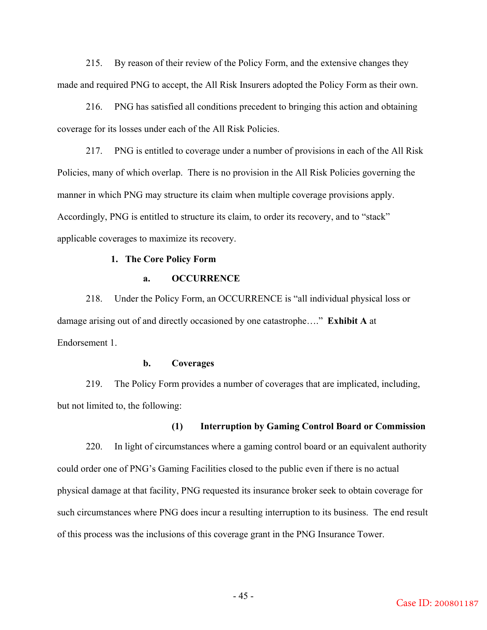215. By reason of their review of the Policy Form, and the extensive changes they made and required PNG to accept, the All Risk Insurers adopted the Policy Form as their own.

216. PNG has satisfied all conditions precedent to bringing this action and obtaining coverage for its losses under each of the All Risk Policies.

217. PNG is entitled to coverage under a number of provisions in each of the All Risk Policies, many of which overlap. There is no provision in the All Risk Policies governing the manner in which PNG may structure its claim when multiple coverage provisions apply. Accordingly, PNG is entitled to structure its claim, to order its recovery, and to "stack" applicable coverages to maximize its recovery.

### **1. The Core Policy Form**

## **a. OCCURRENCE**

218. Under the Policy Form, an OCCURRENCE is "all individual physical loss or damage arising out of and directly occasioned by one catastrophe…." **Exhibit A** at Endorsement 1.

## **b. Coverages**

219. The Policy Form provides a number of coverages that are implicated, including, but not limited to, the following:

# **(1) Interruption by Gaming Control Board or Commission**

220. In light of circumstances where a gaming control board or an equivalent authority could order one of PNG's Gaming Facilities closed to the public even if there is no actual physical damage at that facility, PNG requested its insurance broker seek to obtain coverage for such circumstances where PNG does incur a resulting interruption to its business. The end result of this process was the inclusions of this coverage grant in the PNG Insurance Tower.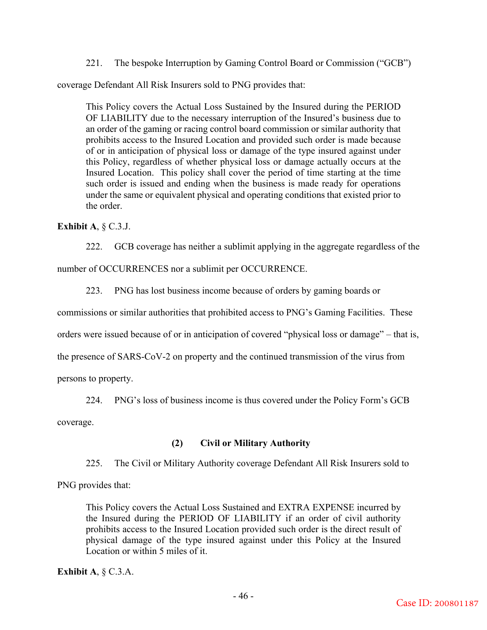221. The bespoke Interruption by Gaming Control Board or Commission ("GCB")

coverage Defendant All Risk Insurers sold to PNG provides that:

This Policy covers the Actual Loss Sustained by the Insured during the PERIOD OF LIABILITY due to the necessary interruption of the Insured's business due to an order of the gaming or racing control board commission or similar authority that prohibits access to the Insured Location and provided such order is made because of or in anticipation of physical loss or damage of the type insured against under this Policy, regardless of whether physical loss or damage actually occurs at the Insured Location. This policy shall cover the period of time starting at the time such order is issued and ending when the business is made ready for operations under the same or equivalent physical and operating conditions that existed prior to the order.

**Exhibit A**, § C.3.J.

222. GCB coverage has neither a sublimit applying in the aggregate regardless of the number of OCCURRENCES nor a sublimit per OCCURRENCE.

223. PNG has lost business income because of orders by gaming boards or

commissions or similar authorities that prohibited access to PNG's Gaming Facilities. These

orders were issued because of or in anticipation of covered "physical loss or damage" – that is,

the presence of SARS-CoV-2 on property and the continued transmission of the virus from

persons to property.

224. PNG's loss of business income is thus covered under the Policy Form's GCB

coverage.

# **(2) Civil or Military Authority**

225. The Civil or Military Authority coverage Defendant All Risk Insurers sold to

PNG provides that:

This Policy covers the Actual Loss Sustained and EXTRA EXPENSE incurred by the Insured during the PERIOD OF LIABILITY if an order of civil authority prohibits access to the Insured Location provided such order is the direct result of physical damage of the type insured against under this Policy at the Insured Location or within 5 miles of it.

**Exhibit A**, § C.3.A.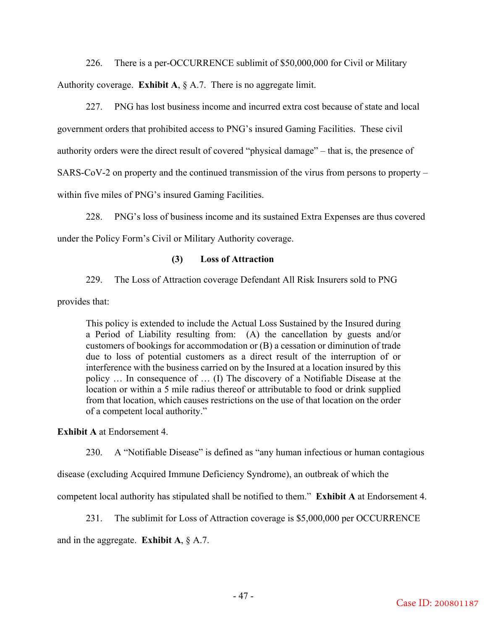226. There is a per-OCCURRENCE sublimit of \$50,000,000 for Civil or Military Authority coverage. **Exhibit A**, § A.7. There is no aggregate limit.

227. PNG has lost business income and incurred extra cost because of state and local government orders that prohibited access to PNG's insured Gaming Facilities. These civil authority orders were the direct result of covered "physical damage" – that is, the presence of SARS-CoV-2 on property and the continued transmission of the virus from persons to property – within five miles of PNG's insured Gaming Facilities.

228. PNG's loss of business income and its sustained Extra Expenses are thus covered under the Policy Form's Civil or Military Authority coverage.

## **(3) Loss of Attraction**

229. The Loss of Attraction coverage Defendant All Risk Insurers sold to PNG

provides that:

This policy is extended to include the Actual Loss Sustained by the Insured during a Period of Liability resulting from: (A) the cancellation by guests and/or customers of bookings for accommodation or (B) a cessation or diminution of trade due to loss of potential customers as a direct result of the interruption of or interference with the business carried on by the Insured at a location insured by this policy … In consequence of … (I) The discovery of a Notifiable Disease at the location or within a 5 mile radius thereof or attributable to food or drink supplied from that location, which causes restrictions on the use of that location on the order of a competent local authority."

**Exhibit A** at Endorsement 4.

230. A "Notifiable Disease" is defined as "any human infectious or human contagious

disease (excluding Acquired Immune Deficiency Syndrome), an outbreak of which the

competent local authority has stipulated shall be notified to them." **Exhibit A** at Endorsement 4.

231. The sublimit for Loss of Attraction coverage is \$5,000,000 per OCCURRENCE

and in the aggregate. **Exhibit A**, § A.7.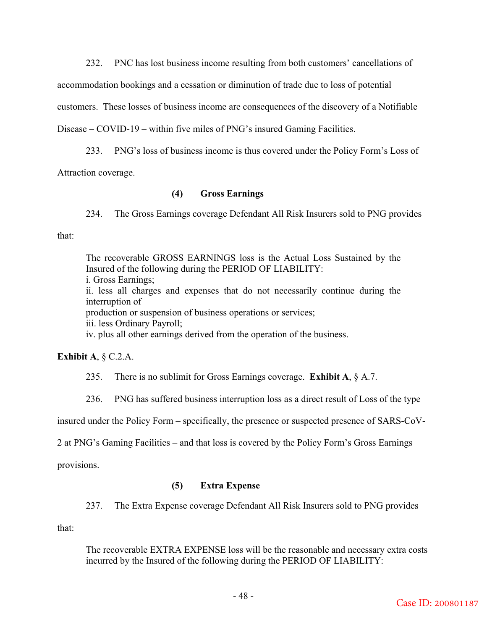232. PNC has lost business income resulting from both customers' cancellations of

accommodation bookings and a cessation or diminution of trade due to loss of potential

customers. These losses of business income are consequences of the discovery of a Notifiable

Disease – COVID-19 – within five miles of PNG's insured Gaming Facilities.

233. PNG's loss of business income is thus covered under the Policy Form's Loss of

Attraction coverage.

## **(4) Gross Earnings**

234. The Gross Earnings coverage Defendant All Risk Insurers sold to PNG provides that:

The recoverable GROSS EARNINGS loss is the Actual Loss Sustained by the Insured of the following during the PERIOD OF LIABILITY: i. Gross Earnings; ii. less all charges and expenses that do not necessarily continue during the interruption of production or suspension of business operations or services; iii. less Ordinary Payroll; iv. plus all other earnings derived from the operation of the business.

**Exhibit A**, § C.2.A.

235. There is no sublimit for Gross Earnings coverage. **Exhibit A**, § A.7.

236. PNG has suffered business interruption loss as a direct result of Loss of the type

insured under the Policy Form – specifically, the presence or suspected presence of SARS-CoV-

2 at PNG's Gaming Facilities – and that loss is covered by the Policy Form's Gross Earnings

provisions.

## **(5) Extra Expense**

237. The Extra Expense coverage Defendant All Risk Insurers sold to PNG provides

that:

The recoverable EXTRA EXPENSE loss will be the reasonable and necessary extra costs incurred by the Insured of the following during the PERIOD OF LIABILITY: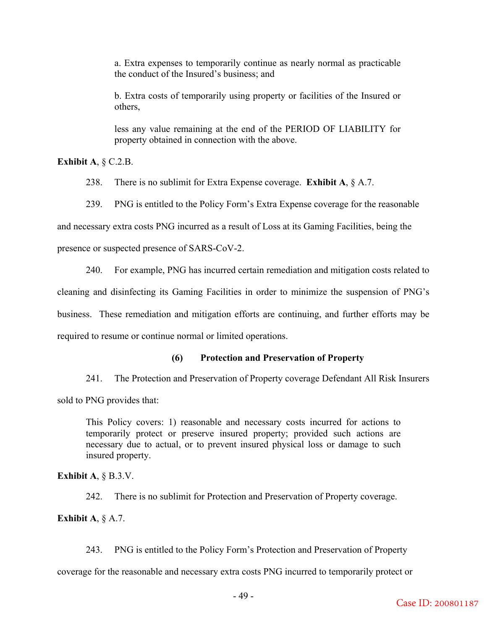a. Extra expenses to temporarily continue as nearly normal as practicable the conduct of the Insured's business; and

b. Extra costs of temporarily using property or facilities of the Insured or others,

less any value remaining at the end of the PERIOD OF LIABILITY for property obtained in connection with the above.

**Exhibit A**, § C.2.B.

238. There is no sublimit for Extra Expense coverage. **Exhibit A**, § A.7.

239. PNG is entitled to the Policy Form's Extra Expense coverage for the reasonable

and necessary extra costs PNG incurred as a result of Loss at its Gaming Facilities, being the

presence or suspected presence of SARS-CoV-2.

240. For example, PNG has incurred certain remediation and mitigation costs related to

cleaning and disinfecting its Gaming Facilities in order to minimize the suspension of PNG's

business. These remediation and mitigation efforts are continuing, and further efforts may be

required to resume or continue normal or limited operations.

# **(6) Protection and Preservation of Property**

241. The Protection and Preservation of Property coverage Defendant All Risk Insurers sold to PNG provides that:

This Policy covers: 1) reasonable and necessary costs incurred for actions to temporarily protect or preserve insured property; provided such actions are necessary due to actual, or to prevent insured physical loss or damage to such insured property.

**Exhibit A**, § B.3.V.

242. There is no sublimit for Protection and Preservation of Property coverage.

**Exhibit A**, § A.7.

243. PNG is entitled to the Policy Form's Protection and Preservation of Property

coverage for the reasonable and necessary extra costs PNG incurred to temporarily protect or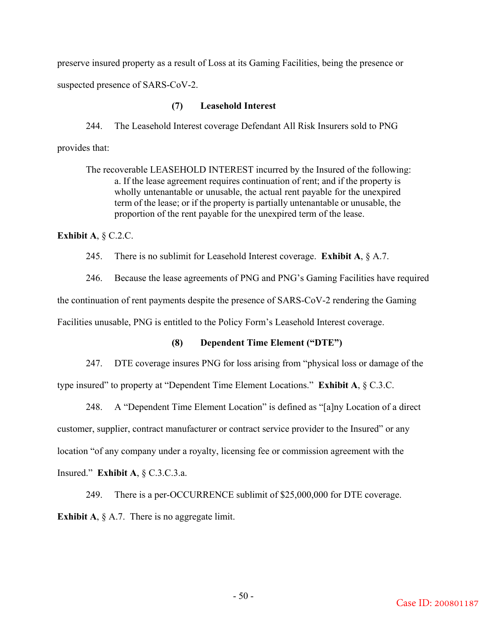preserve insured property as a result of Loss at its Gaming Facilities, being the presence or suspected presence of SARS-CoV-2.

## **(7) Leasehold Interest**

244. The Leasehold Interest coverage Defendant All Risk Insurers sold to PNG provides that:

The recoverable LEASEHOLD INTEREST incurred by the Insured of the following: a. If the lease agreement requires continuation of rent; and if the property is wholly untenantable or unusable, the actual rent payable for the unexpired term of the lease; or if the property is partially untenantable or unusable, the proportion of the rent payable for the unexpired term of the lease.

## **Exhibit A**, § C.2.C.

245. There is no sublimit for Leasehold Interest coverage. **Exhibit A**, § A.7.

246. Because the lease agreements of PNG and PNG's Gaming Facilities have required the continuation of rent payments despite the presence of SARS-CoV-2 rendering the Gaming

Facilities unusable, PNG is entitled to the Policy Form's Leasehold Interest coverage.

## **(8) Dependent Time Element ("DTE")**

247. DTE coverage insures PNG for loss arising from "physical loss or damage of the

type insured" to property at "Dependent Time Element Locations." **Exhibit A**, § C.3.C.

248. A "Dependent Time Element Location" is defined as "[a]ny Location of a direct customer, supplier, contract manufacturer or contract service provider to the Insured" or any location "of any company under a royalty, licensing fee or commission agreement with the Insured." **Exhibit A**, § C.3.C.3.a.

249. There is a per-OCCURRENCE sublimit of \$25,000,000 for DTE coverage. **Exhibit A,** § A.7. There is no aggregate limit.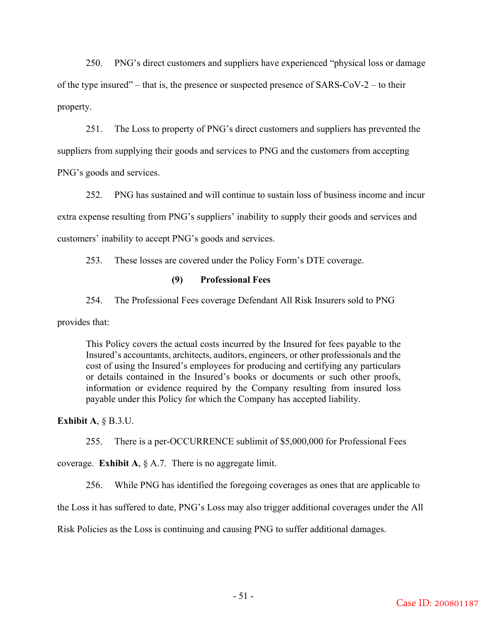250. PNG's direct customers and suppliers have experienced "physical loss or damage of the type insured" – that is, the presence or suspected presence of  $SARS-CoV-2$  – to their property.

251. The Loss to property of PNG's direct customers and suppliers has prevented the suppliers from supplying their goods and services to PNG and the customers from accepting PNG's goods and services.

252. PNG has sustained and will continue to sustain loss of business income and incur extra expense resulting from PNG's suppliers' inability to supply their goods and services and customers' inability to accept PNG's goods and services.

253. These losses are covered under the Policy Form's DTE coverage.

# **(9) Professional Fees**

254. The Professional Fees coverage Defendant All Risk Insurers sold to PNG

provides that:

This Policy covers the actual costs incurred by the Insured for fees payable to the Insured's accountants, architects, auditors, engineers, or other professionals and the cost of using the Insured's employees for producing and certifying any particulars or details contained in the Insured's books or documents or such other proofs, information or evidence required by the Company resulting from insured loss payable under this Policy for which the Company has accepted liability.

# **Exhibit A**, § B.3.U.

255. There is a per-OCCURRENCE sublimit of \$5,000,000 for Professional Fees

coverage. **Exhibit A**,  $\S$  A.7. There is no aggregate limit.

256. While PNG has identified the foregoing coverages as ones that are applicable to

the Loss it has suffered to date, PNG's Loss may also trigger additional coverages under the All

Risk Policies as the Loss is continuing and causing PNG to suffer additional damages.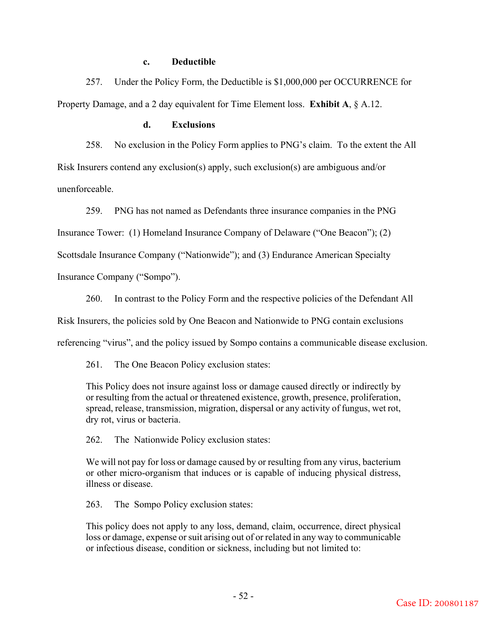## **c. Deductible**

257. Under the Policy Form, the Deductible is \$1,000,000 per OCCURRENCE for Property Damage, and a 2 day equivalent for Time Element loss. **Exhibit A**, § A.12.

## **d. Exclusions**

258. No exclusion in the Policy Form applies to PNG's claim. To the extent the All Risk Insurers contend any exclusion(s) apply, such exclusion(s) are ambiguous and/or unenforceable.

259. PNG has not named as Defendants three insurance companies in the PNG

Insurance Tower: (1) Homeland Insurance Company of Delaware ("One Beacon"); (2)

Scottsdale Insurance Company ("Nationwide"); and (3) Endurance American Specialty

Insurance Company ("Sompo").

260. In contrast to the Policy Form and the respective policies of the Defendant All

Risk Insurers, the policies sold by One Beacon and Nationwide to PNG contain exclusions

referencing "virus", and the policy issued by Sompo contains a communicable disease exclusion.

261. The One Beacon Policy exclusion states:

This Policy does not insure against loss or damage caused directly or indirectly by or resulting from the actual or threatened existence, growth, presence, proliferation, spread, release, transmission, migration, dispersal or any activity of fungus, wet rot, dry rot, virus or bacteria.

262. The Nationwide Policy exclusion states:

We will not pay for loss or damage caused by or resulting from any virus, bacterium or other micro-organism that induces or is capable of inducing physical distress, illness or disease.

263. The Sompo Policy exclusion states:

This policy does not apply to any loss, demand, claim, occurrence, direct physical loss or damage, expense or suit arising out of or related in any way to communicable or infectious disease, condition or sickness, including but not limited to: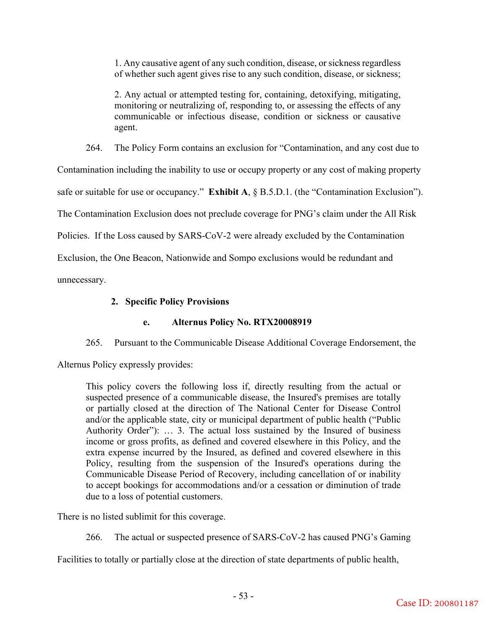1. Any causative agent of any such condition, disease, or sickness regardless of whether such agent gives rise to any such condition, disease, or sickness;

2. Any actual or attempted testing for, containing, detoxifying, mitigating, monitoring or neutralizing of, responding to, or assessing the effects of any communicable or infectious disease, condition or sickness or causative agent.

264. The Policy Form contains an exclusion for "Contamination, and any cost due to

Contamination including the inability to use or occupy property or any cost of making property

safe or suitable for use or occupancy." **Exhibit A**, § B.5.D.1. (the "Contamination Exclusion").

The Contamination Exclusion does not preclude coverage for PNG's claim under the All Risk

Policies. If the Loss caused by SARS-CoV-2 were already excluded by the Contamination

Exclusion, the One Beacon, Nationwide and Sompo exclusions would be redundant and

unnecessary.

# **2. Specific Policy Provisions**

# **e. Alternus Policy No. RTX20008919**

265. Pursuant to the Communicable Disease Additional Coverage Endorsement, the

Alternus Policy expressly provides:

This policy covers the following loss if, directly resulting from the actual or suspected presence of a communicable disease, the Insured's premises are totally or partially closed at the direction of The National Center for Disease Control and/or the applicable state, city or municipal department of public health ("Public Authority Order"): … 3. The actual loss sustained by the Insured of business income or gross profits, as defined and covered elsewhere in this Policy, and the extra expense incurred by the Insured, as defined and covered elsewhere in this Policy, resulting from the suspension of the Insured's operations during the Communicable Disease Period of Recovery, including cancellation of or inability to accept bookings for accommodations and/or a cessation or diminution of trade due to a loss of potential customers.

There is no listed sublimit for this coverage.

266. The actual or suspected presence of SARS-CoV-2 has caused PNG's Gaming

Facilities to totally or partially close at the direction of state departments of public health,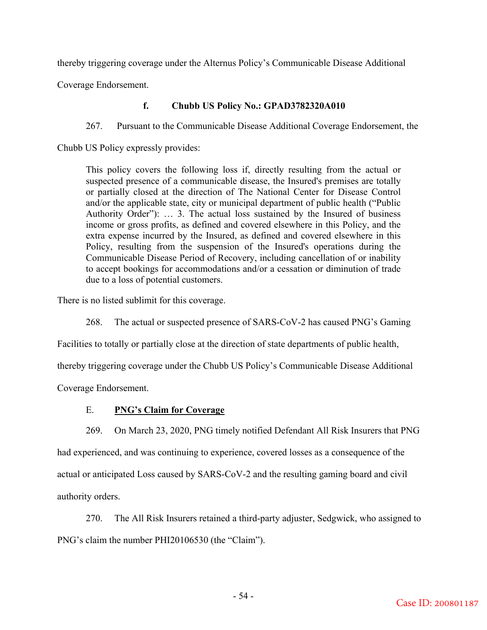thereby triggering coverage under the Alternus Policy's Communicable Disease Additional

Coverage Endorsement.

# **f. Chubb US Policy No.: GPAD3782320A010**

267. Pursuant to the Communicable Disease Additional Coverage Endorsement, the

Chubb US Policy expressly provides:

This policy covers the following loss if, directly resulting from the actual or suspected presence of a communicable disease, the Insured's premises are totally or partially closed at the direction of The National Center for Disease Control and/or the applicable state, city or municipal department of public health ("Public Authority Order"): … 3. The actual loss sustained by the Insured of business income or gross profits, as defined and covered elsewhere in this Policy, and the extra expense incurred by the Insured, as defined and covered elsewhere in this Policy, resulting from the suspension of the Insured's operations during the Communicable Disease Period of Recovery, including cancellation of or inability to accept bookings for accommodations and/or a cessation or diminution of trade due to a loss of potential customers.

There is no listed sublimit for this coverage.

268. The actual or suspected presence of SARS-CoV-2 has caused PNG's Gaming

Facilities to totally or partially close at the direction of state departments of public health,

thereby triggering coverage under the Chubb US Policy's Communicable Disease Additional

Coverage Endorsement.

# E. **PNG's Claim for Coverage**

269. On March 23, 2020, PNG timely notified Defendant All Risk Insurers that PNG had experienced, and was continuing to experience, covered losses as a consequence of the actual or anticipated Loss caused by SARS-CoV-2 and the resulting gaming board and civil authority orders.

270. The All Risk Insurers retained a third-party adjuster, Sedgwick, who assigned to PNG's claim the number PHI20106530 (the "Claim").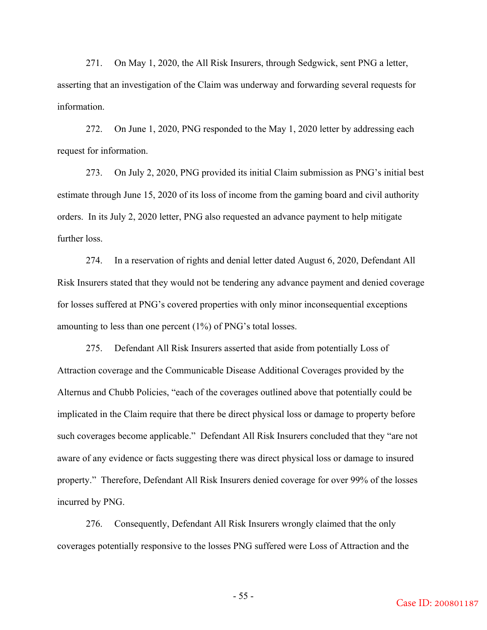271. On May 1, 2020, the All Risk Insurers, through Sedgwick, sent PNG a letter, asserting that an investigation of the Claim was underway and forwarding several requests for information.

272. On June 1, 2020, PNG responded to the May 1, 2020 letter by addressing each request for information.

273. On July 2, 2020, PNG provided its initial Claim submission as PNG's initial best estimate through June 15, 2020 of its loss of income from the gaming board and civil authority orders. In its July 2, 2020 letter, PNG also requested an advance payment to help mitigate further loss.

274. In a reservation of rights and denial letter dated August 6, 2020, Defendant All Risk Insurers stated that they would not be tendering any advance payment and denied coverage for losses suffered at PNG's covered properties with only minor inconsequential exceptions amounting to less than one percent (1%) of PNG's total losses.

275. Defendant All Risk Insurers asserted that aside from potentially Loss of Attraction coverage and the Communicable Disease Additional Coverages provided by the Alternus and Chubb Policies, "each of the coverages outlined above that potentially could be implicated in the Claim require that there be direct physical loss or damage to property before such coverages become applicable." Defendant All Risk Insurers concluded that they "are not aware of any evidence or facts suggesting there was direct physical loss or damage to insured property." Therefore, Defendant All Risk Insurers denied coverage for over 99% of the losses incurred by PNG.

276. Consequently, Defendant All Risk Insurers wrongly claimed that the only coverages potentially responsive to the losses PNG suffered were Loss of Attraction and the

- 55 -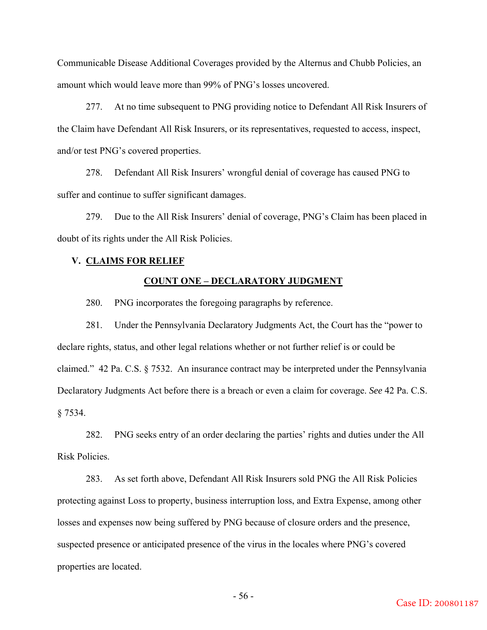Communicable Disease Additional Coverages provided by the Alternus and Chubb Policies, an amount which would leave more than 99% of PNG's losses uncovered.

277. At no time subsequent to PNG providing notice to Defendant All Risk Insurers of the Claim have Defendant All Risk Insurers, or its representatives, requested to access, inspect, and/or test PNG's covered properties.

278. Defendant All Risk Insurers' wrongful denial of coverage has caused PNG to suffer and continue to suffer significant damages.

279. Due to the All Risk Insurers' denial of coverage, PNG's Claim has been placed in doubt of its rights under the All Risk Policies.

### **V. CLAIMS FOR RELIEF**

### **COUNT ONE – DECLARATORY JUDGMENT**

280. PNG incorporates the foregoing paragraphs by reference.

281. Under the Pennsylvania Declaratory Judgments Act, the Court has the "power to declare rights, status, and other legal relations whether or not further relief is or could be claimed." 42 Pa. C.S. § 7532. An insurance contract may be interpreted under the Pennsylvania Declaratory Judgments Act before there is a breach or even a claim for coverage. *See* 42 Pa. C.S. § 7534.

282. PNG seeks entry of an order declaring the parties' rights and duties under the All Risk Policies.

283. As set forth above, Defendant All Risk Insurers sold PNG the All Risk Policies protecting against Loss to property, business interruption loss, and Extra Expense, among other losses and expenses now being suffered by PNG because of closure orders and the presence, suspected presence or anticipated presence of the virus in the locales where PNG's covered properties are located.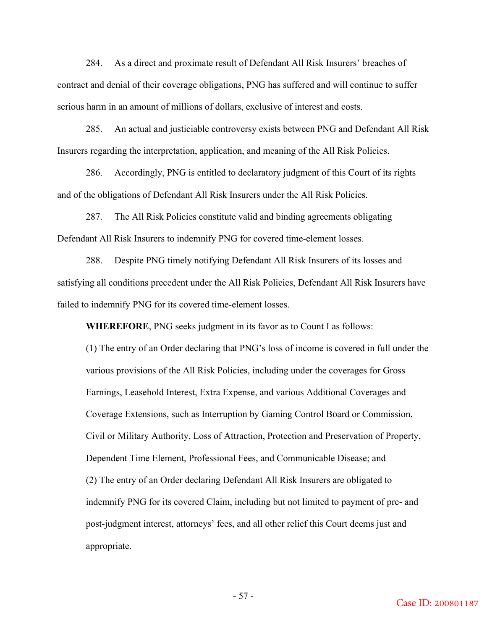284. As a direct and proximate result of Defendant All Risk Insurers' breaches of contract and denial of their coverage obligations, PNG has suffered and will continue to suffer serious harm in an amount of millions of dollars, exclusive of interest and costs.

285. An actual and justiciable controversy exists between PNG and Defendant All Risk Insurers regarding the interpretation, application, and meaning of the All Risk Policies.

286. Accordingly, PNG is entitled to declaratory judgment of this Court of its rights and of the obligations of Defendant All Risk Insurers under the All Risk Policies.

287. The All Risk Policies constitute valid and binding agreements obligating Defendant All Risk Insurers to indemnify PNG for covered time-element losses.

288. Despite PNG timely notifying Defendant All Risk Insurers of its losses and satisfying all conditions precedent under the All Risk Policies, Defendant All Risk Insurers have failed to indemnify PNG for its covered time-element losses.

**WHEREFORE**, PNG seeks judgment in its favor as to Count I as follows:

(1) The entry of an Order declaring that PNG's loss of income is covered in full under the various provisions of the All Risk Policies, including under the coverages for Gross Earnings, Leasehold Interest, Extra Expense, and various Additional Coverages and Coverage Extensions, such as Interruption by Gaming Control Board or Commission, Civil or Military Authority, Loss of Attraction, Protection and Preservation of Property, Dependent Time Element, Professional Fees, and Communicable Disease; and (2) The entry of an Order declaring Defendant All Risk Insurers are obligated to indemnify PNG for its covered Claim, including but not limited to payment of pre- and post-judgment interest, attorneys' fees, and all other relief this Court deems just and appropriate.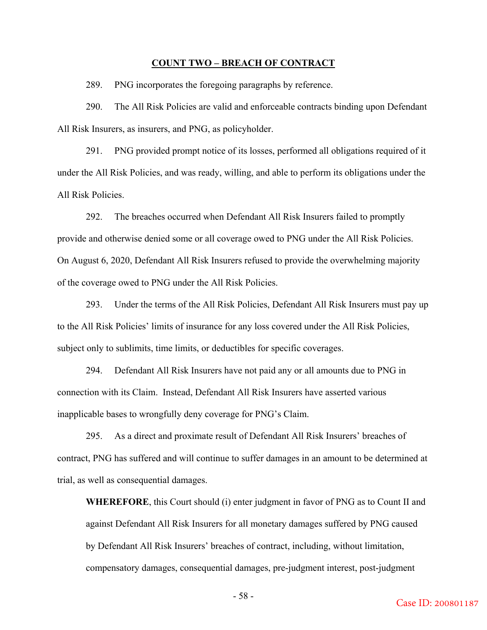#### **COUNT TWO – BREACH OF CONTRACT**

289. PNG incorporates the foregoing paragraphs by reference.

290. The All Risk Policies are valid and enforceable contracts binding upon Defendant All Risk Insurers, as insurers, and PNG, as policyholder.

291. PNG provided prompt notice of its losses, performed all obligations required of it under the All Risk Policies, and was ready, willing, and able to perform its obligations under the All Risk Policies.

292. The breaches occurred when Defendant All Risk Insurers failed to promptly provide and otherwise denied some or all coverage owed to PNG under the All Risk Policies. On August 6, 2020, Defendant All Risk Insurers refused to provide the overwhelming majority of the coverage owed to PNG under the All Risk Policies.

293. Under the terms of the All Risk Policies, Defendant All Risk Insurers must pay up to the All Risk Policies' limits of insurance for any loss covered under the All Risk Policies, subject only to sublimits, time limits, or deductibles for specific coverages.

294. Defendant All Risk Insurers have not paid any or all amounts due to PNG in connection with its Claim. Instead, Defendant All Risk Insurers have asserted various inapplicable bases to wrongfully deny coverage for PNG's Claim.

295. As a direct and proximate result of Defendant All Risk Insurers' breaches of contract, PNG has suffered and will continue to suffer damages in an amount to be determined at trial, as well as consequential damages.

**WHEREFORE**, this Court should (i) enter judgment in favor of PNG as to Count II and against Defendant All Risk Insurers for all monetary damages suffered by PNG caused by Defendant All Risk Insurers' breaches of contract, including, without limitation, compensatory damages, consequential damages, pre-judgment interest, post-judgment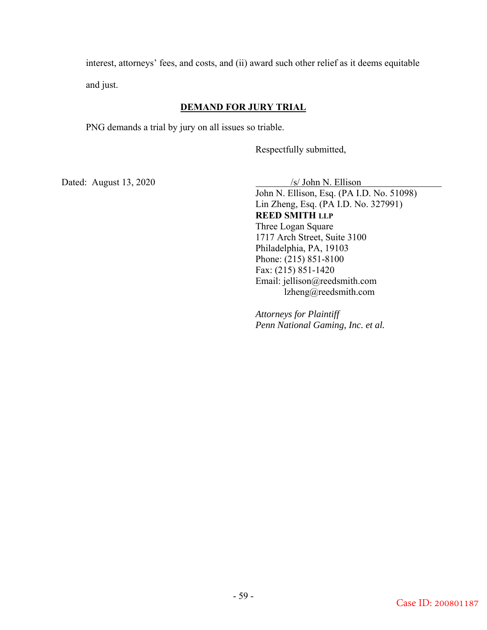interest, attorneys' fees, and costs, and (ii) award such other relief as it deems equitable and just.

# **DEMAND FOR JURY TRIAL**

PNG demands a trial by jury on all issues so triable.

Respectfully submitted,

Dated: August 13, 2020 /s/ John N. Ellison

John N. Ellison, Esq. (PA I.D. No. 51098) Lin Zheng, Esq. (PA I.D. No. 327991) **REED SMITH LLP** Three Logan Square 1717 Arch Street, Suite 3100 Philadelphia, PA, 19103 Phone: (215) 851-8100 Fax: (215) 851-1420 Email: jellison@reedsmith.com lzheng@reedsmith.com

*Attorneys for Plaintiff Penn National Gaming, Inc. et al.*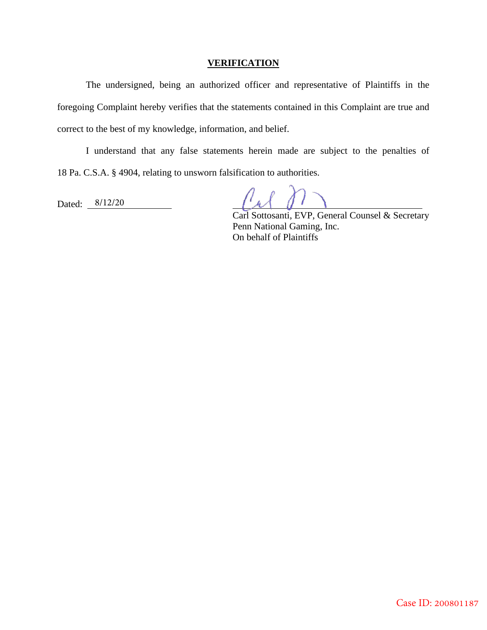## **VERIFICATION**

The undersigned, being an authorized officer and representative of Plaintiffs in the foregoing Complaint hereby verifies that the statements contained in this Complaint are true and correct to the best of my knowledge, information, and belief.

I understand that any false statements herein made are subject to the penalties of 18 Pa. C.S.A. § 4904, relating to unsworn falsification to authorities.

Dated: 8/12/20

Carl Sottosanti, EVP, General Counsel & Secretary Penn National Gaming, Inc. On behalf of Plaintiffs